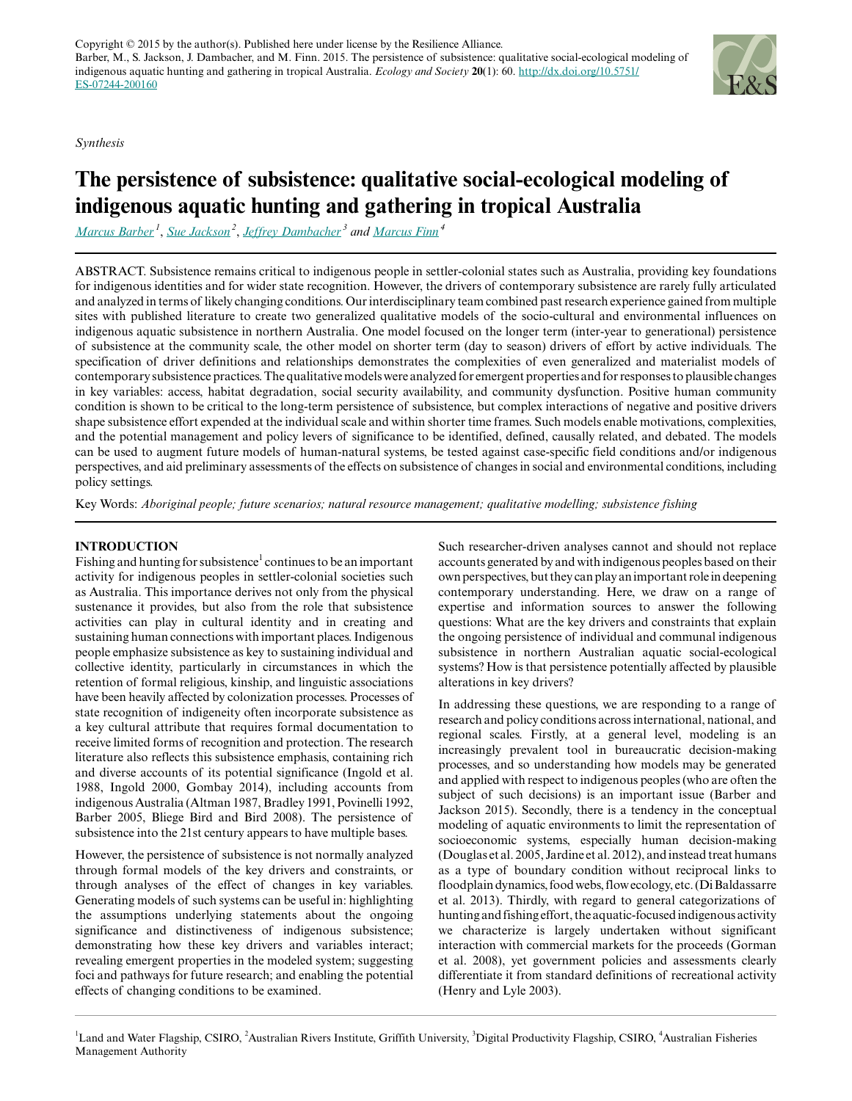*Synthesis*

# **The persistence of subsistence: qualitative social-ecological modeling of indigenous aquatic hunting and gathering in tropical Australia**

*[Marcus Barber](mailto:marcus.barber@csiro.au)<sup>1</sup>* , *[Sue Jackson](mailto:sue.jackson@griffith.edu.au)<sup>2</sup>* , *[Jeffrey Dambacher](mailto:Jeffrey.Dambacher@csiro.au)<sup>3</sup> and [Marcus Finn](mailto:Marcus.Finn@afma.gov.au)<sup>4</sup>*

ABSTRACT. Subsistence remains critical to indigenous people in settler-colonial states such as Australia, providing key foundations for indigenous identities and for wider state recognition. However, the drivers of contemporary subsistence are rarely fully articulated and analyzed in terms of likely changing conditions. Our interdisciplinary team combined past research experience gained from multiple sites with published literature to create two generalized qualitative models of the socio-cultural and environmental influences on indigenous aquatic subsistence in northern Australia. One model focused on the longer term (inter-year to generational) persistence of subsistence at the community scale, the other model on shorter term (day to season) drivers of effort by active individuals. The specification of driver definitions and relationships demonstrates the complexities of even generalized and materialist models of contemporary subsistence practices. The qualitative models were analyzed for emergent properties and for responses to plausible changes in key variables: access, habitat degradation, social security availability, and community dysfunction. Positive human community condition is shown to be critical to the long-term persistence of subsistence, but complex interactions of negative and positive drivers shape subsistence effort expended at the individual scale and within shorter time frames. Such models enable motivations, complexities, and the potential management and policy levers of significance to be identified, defined, causally related, and debated. The models can be used to augment future models of human-natural systems, be tested against case-specific field conditions and/or indigenous perspectives, and aid preliminary assessments of the effects on subsistence of changes in social and environmental conditions, including policy settings.

Key Words: *Aboriginal people; future scenarios; natural resource management; qualitative modelling; subsistence fishing*

# **INTRODUCTION**

Fishing and hunting for subsistence<sup>1</sup> continues to be an important activity for indigenous peoples in settler-colonial societies such as Australia. This importance derives not only from the physical sustenance it provides, but also from the role that subsistence activities can play in cultural identity and in creating and sustaining human connections with important places. Indigenous people emphasize subsistence as key to sustaining individual and collective identity, particularly in circumstances in which the retention of formal religious, kinship, and linguistic associations have been heavily affected by colonization processes. Processes of state recognition of indigeneity often incorporate subsistence as a key cultural attribute that requires formal documentation to receive limited forms of recognition and protection. The research literature also reflects this subsistence emphasis, containing rich and diverse accounts of its potential significance (Ingold et al. 1988, Ingold 2000, Gombay 2014), including accounts from indigenous Australia (Altman 1987, Bradley 1991, Povinelli 1992, Barber 2005, Bliege Bird and Bird 2008). The persistence of subsistence into the 21st century appears to have multiple bases.

However, the persistence of subsistence is not normally analyzed through formal models of the key drivers and constraints, or through analyses of the effect of changes in key variables. Generating models of such systems can be useful in: highlighting the assumptions underlying statements about the ongoing significance and distinctiveness of indigenous subsistence; demonstrating how these key drivers and variables interact; revealing emergent properties in the modeled system; suggesting foci and pathways for future research; and enabling the potential effects of changing conditions to be examined.

Such researcher-driven analyses cannot and should not replace accounts generated by and with indigenous peoples based on their own perspectives, but they can play an important role in deepening contemporary understanding. Here, we draw on a range of expertise and information sources to answer the following questions: What are the key drivers and constraints that explain the ongoing persistence of individual and communal indigenous subsistence in northern Australian aquatic social-ecological systems? How is that persistence potentially affected by plausible alterations in key drivers?

In addressing these questions, we are responding to a range of research and policy conditions across international, national, and regional scales. Firstly, at a general level, modeling is an increasingly prevalent tool in bureaucratic decision-making processes, and so understanding how models may be generated and applied with respect to indigenous peoples (who are often the subject of such decisions) is an important issue (Barber and Jackson 2015). Secondly, there is a tendency in the conceptual modeling of aquatic environments to limit the representation of socioeconomic systems, especially human decision-making (Douglas et al. 2005, Jardine et al. 2012), and instead treat humans as a type of boundary condition without reciprocal links to floodplain dynamics, food webs, flow ecology, etc. (Di Baldassarre et al. 2013). Thirdly, with regard to general categorizations of hunting and fishing effort, the aquatic-focused indigenous activity we characterize is largely undertaken without significant interaction with commercial markets for the proceeds (Gorman et al. 2008), yet government policies and assessments clearly differentiate it from standard definitions of recreational activity (Henry and Lyle 2003).

<sup>1</sup>Land and Water Flagship, CSIRO, <sup>2</sup>Australian Rivers Institute, Griffith University, <sup>3</sup>Digital Productivity Flagship, CSIRO, <sup>4</sup>Australian Fisheries Management Authority

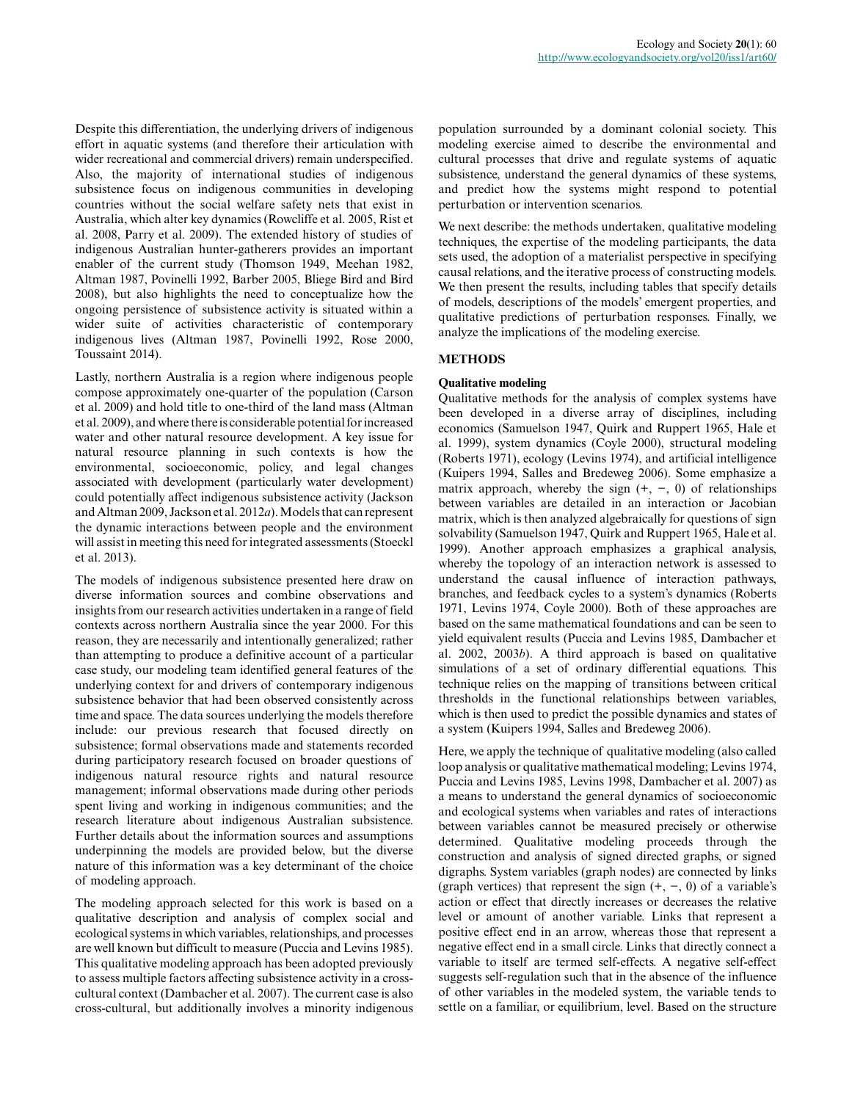Despite this differentiation, the underlying drivers of indigenous effort in aquatic systems (and therefore their articulation with wider recreational and commercial drivers) remain underspecified. Also, the majority of international studies of indigenous subsistence focus on indigenous communities in developing countries without the social welfare safety nets that exist in Australia, which alter key dynamics (Rowcliffe et al. 2005, Rist et al. 2008, Parry et al. 2009). The extended history of studies of indigenous Australian hunter-gatherers provides an important enabler of the current study (Thomson 1949, Meehan 1982, Altman 1987, Povinelli 1992, Barber 2005, Bliege Bird and Bird 2008), but also highlights the need to conceptualize how the ongoing persistence of subsistence activity is situated within a wider suite of activities characteristic of contemporary indigenous lives (Altman 1987, Povinelli 1992, Rose 2000, Toussaint 2014).

Lastly, northern Australia is a region where indigenous people compose approximately one-quarter of the population (Carson et al. 2009) and hold title to one-third of the land mass (Altman et al. 2009), and where there is considerable potential for increased water and other natural resource development. A key issue for natural resource planning in such contexts is how the environmental, socioeconomic, policy, and legal changes associated with development (particularly water development) could potentially affect indigenous subsistence activity (Jackson and Altman 2009, Jackson et al. 2012*a*). Models that can represent the dynamic interactions between people and the environment will assist in meeting this need for integrated assessments (Stoeckl et al. 2013).

The models of indigenous subsistence presented here draw on diverse information sources and combine observations and insights from our research activities undertaken in a range of field contexts across northern Australia since the year 2000. For this reason, they are necessarily and intentionally generalized; rather than attempting to produce a definitive account of a particular case study, our modeling team identified general features of the underlying context for and drivers of contemporary indigenous subsistence behavior that had been observed consistently across time and space. The data sources underlying the models therefore include: our previous research that focused directly on subsistence; formal observations made and statements recorded during participatory research focused on broader questions of indigenous natural resource rights and natural resource management; informal observations made during other periods spent living and working in indigenous communities; and the research literature about indigenous Australian subsistence. Further details about the information sources and assumptions underpinning the models are provided below, but the diverse nature of this information was a key determinant of the choice of modeling approach.

The modeling approach selected for this work is based on a qualitative description and analysis of complex social and ecological systems in which variables, relationships, and processes are well known but difficult to measure (Puccia and Levins 1985). This qualitative modeling approach has been adopted previously to assess multiple factors affecting subsistence activity in a crosscultural context (Dambacher et al. 2007). The current case is also cross-cultural, but additionally involves a minority indigenous population surrounded by a dominant colonial society. This modeling exercise aimed to describe the environmental and cultural processes that drive and regulate systems of aquatic subsistence, understand the general dynamics of these systems, and predict how the systems might respond to potential perturbation or intervention scenarios.

We next describe: the methods undertaken, qualitative modeling techniques, the expertise of the modeling participants, the data sets used, the adoption of a materialist perspective in specifying causal relations, and the iterative process of constructing models. We then present the results, including tables that specify details of models, descriptions of the models' emergent properties, and qualitative predictions of perturbation responses. Finally, we analyze the implications of the modeling exercise.

## **METHODS**

#### **Qualitative modeling**

Qualitative methods for the analysis of complex systems have been developed in a diverse array of disciplines, including economics (Samuelson 1947, Quirk and Ruppert 1965, Hale et al. 1999), system dynamics (Coyle 2000), structural modeling (Roberts 1971), ecology (Levins 1974), and artificial intelligence (Kuipers 1994, Salles and Bredeweg 2006). Some emphasize a matrix approach, whereby the sign  $(+, -, 0)$  of relationships between variables are detailed in an interaction or Jacobian matrix, which is then analyzed algebraically for questions of sign solvability (Samuelson 1947, Quirk and Ruppert 1965, Hale et al. 1999). Another approach emphasizes a graphical analysis, whereby the topology of an interaction network is assessed to understand the causal influence of interaction pathways, branches, and feedback cycles to a system's dynamics (Roberts 1971, Levins 1974, Coyle 2000). Both of these approaches are based on the same mathematical foundations and can be seen to yield equivalent results (Puccia and Levins 1985, Dambacher et al. 2002, 2003*b*). A third approach is based on qualitative simulations of a set of ordinary differential equations. This technique relies on the mapping of transitions between critical thresholds in the functional relationships between variables, which is then used to predict the possible dynamics and states of a system (Kuipers 1994, Salles and Bredeweg 2006).

Here, we apply the technique of qualitative modeling (also called loop analysis or qualitative mathematical modeling; Levins 1974, Puccia and Levins 1985, Levins 1998, Dambacher et al. 2007) as a means to understand the general dynamics of socioeconomic and ecological systems when variables and rates of interactions between variables cannot be measured precisely or otherwise determined. Qualitative modeling proceeds through the construction and analysis of signed directed graphs, or signed digraphs. System variables (graph nodes) are connected by links (graph vertices) that represent the sign  $(+, -, 0)$  of a variable's action or effect that directly increases or decreases the relative level or amount of another variable. Links that represent a positive effect end in an arrow, whereas those that represent a negative effect end in a small circle. Links that directly connect a variable to itself are termed self-effects. A negative self-effect suggests self-regulation such that in the absence of the influence of other variables in the modeled system, the variable tends to settle on a familiar, or equilibrium, level. Based on the structure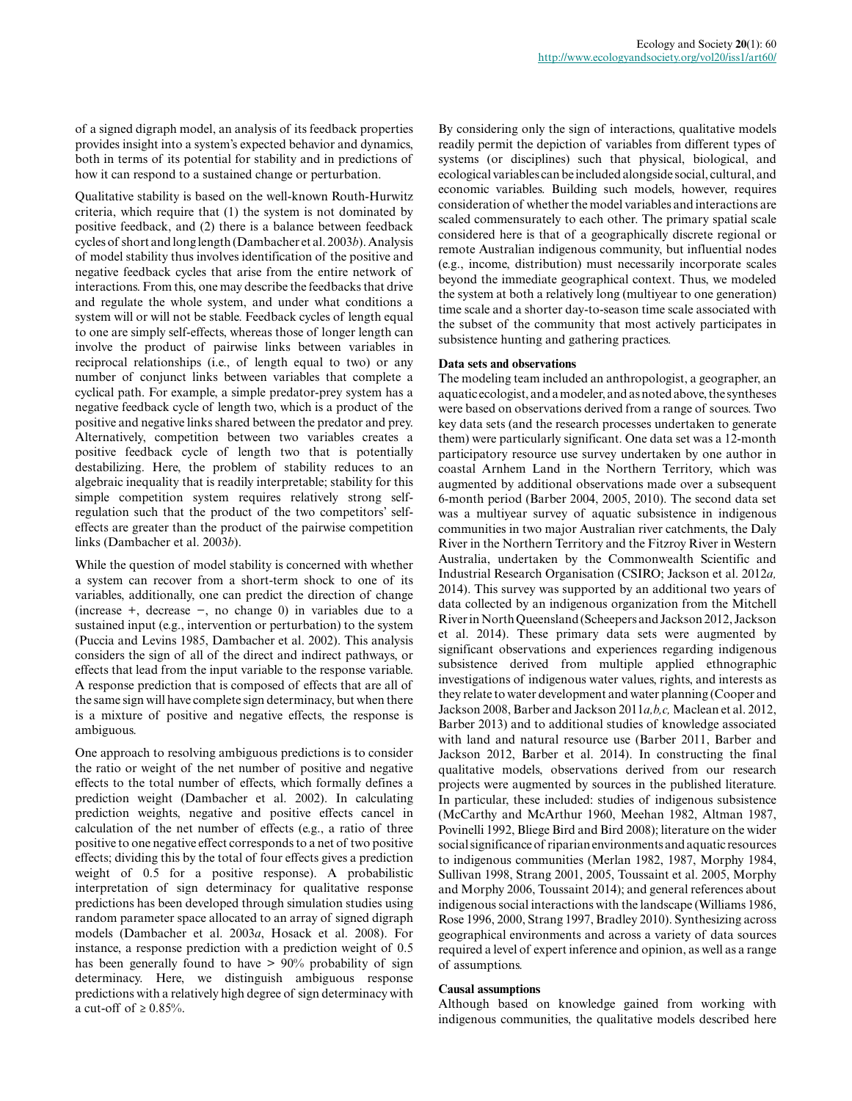of a signed digraph model, an analysis of its feedback properties provides insight into a system's expected behavior and dynamics, both in terms of its potential for stability and in predictions of how it can respond to a sustained change or perturbation.

Qualitative stability is based on the well-known Routh-Hurwitz criteria, which require that (1) the system is not dominated by positive feedback, and (2) there is a balance between feedback cycles of short and long length (Dambacher et al. 2003*b*). Analysis of model stability thus involves identification of the positive and negative feedback cycles that arise from the entire network of interactions. From this, one may describe the feedbacks that drive and regulate the whole system, and under what conditions a system will or will not be stable. Feedback cycles of length equal to one are simply self-effects, whereas those of longer length can involve the product of pairwise links between variables in reciprocal relationships (i.e., of length equal to two) or any number of conjunct links between variables that complete a cyclical path. For example, a simple predator-prey system has a negative feedback cycle of length two, which is a product of the positive and negative links shared between the predator and prey. Alternatively, competition between two variables creates a positive feedback cycle of length two that is potentially destabilizing. Here, the problem of stability reduces to an algebraic inequality that is readily interpretable; stability for this simple competition system requires relatively strong selfregulation such that the product of the two competitors' selfeffects are greater than the product of the pairwise competition links (Dambacher et al. 2003*b*).

While the question of model stability is concerned with whether a system can recover from a short-term shock to one of its variables, additionally, one can predict the direction of change (increase +, decrease −, no change 0) in variables due to a sustained input (e.g., intervention or perturbation) to the system (Puccia and Levins 1985, Dambacher et al. 2002). This analysis considers the sign of all of the direct and indirect pathways, or effects that lead from the input variable to the response variable. A response prediction that is composed of effects that are all of the same sign will have complete sign determinacy, but when there is a mixture of positive and negative effects, the response is ambiguous.

One approach to resolving ambiguous predictions is to consider the ratio or weight of the net number of positive and negative effects to the total number of effects, which formally defines a prediction weight (Dambacher et al. 2002). In calculating prediction weights, negative and positive effects cancel in calculation of the net number of effects (e.g., a ratio of three positive to one negative effect corresponds to a net of two positive effects; dividing this by the total of four effects gives a prediction weight of 0.5 for a positive response). A probabilistic interpretation of sign determinacy for qualitative response predictions has been developed through simulation studies using random parameter space allocated to an array of signed digraph models (Dambacher et al. 2003*a*, Hosack et al. 2008). For instance, a response prediction with a prediction weight of 0.5 has been generally found to have  $> 90\%$  probability of sign determinacy. Here, we distinguish ambiguous response predictions with a relatively high degree of sign determinacy with a cut-off of  $\geq 0.85\%$ .

By considering only the sign of interactions, qualitative models readily permit the depiction of variables from different types of systems (or disciplines) such that physical, biological, and ecological variables can be included alongside social, cultural, and economic variables. Building such models, however, requires consideration of whether the model variables and interactions are scaled commensurately to each other. The primary spatial scale considered here is that of a geographically discrete regional or remote Australian indigenous community, but influential nodes (e.g., income, distribution) must necessarily incorporate scales beyond the immediate geographical context. Thus, we modeled the system at both a relatively long (multiyear to one generation) time scale and a shorter day-to-season time scale associated with the subset of the community that most actively participates in subsistence hunting and gathering practices.

## **Data sets and observations**

The modeling team included an anthropologist, a geographer, an aquatic ecologist, and a modeler, and as noted above, the syntheses were based on observations derived from a range of sources. Two key data sets (and the research processes undertaken to generate them) were particularly significant. One data set was a 12-month participatory resource use survey undertaken by one author in coastal Arnhem Land in the Northern Territory, which was augmented by additional observations made over a subsequent 6-month period (Barber 2004, 2005, 2010). The second data set was a multiyear survey of aquatic subsistence in indigenous communities in two major Australian river catchments, the Daly River in the Northern Territory and the Fitzroy River in Western Australia, undertaken by the Commonwealth Scientific and Industrial Research Organisation (CSIRO; Jackson et al. 2012*a,* 2014). This survey was supported by an additional two years of data collected by an indigenous organization from the Mitchell River in North Queensland (Scheepers and Jackson 2012, Jackson et al. 2014). These primary data sets were augmented by significant observations and experiences regarding indigenous subsistence derived from multiple applied ethnographic investigations of indigenous water values, rights, and interests as they relate to water development and water planning (Cooper and Jackson 2008, Barber and Jackson 2011*a,b,c,* Maclean et al. 2012, Barber 2013) and to additional studies of knowledge associated with land and natural resource use (Barber 2011, Barber and Jackson 2012, Barber et al. 2014). In constructing the final qualitative models, observations derived from our research projects were augmented by sources in the published literature. In particular, these included: studies of indigenous subsistence (McCarthy and McArthur 1960, Meehan 1982, Altman 1987, Povinelli 1992, Bliege Bird and Bird 2008); literature on the wider social significance of riparian environments and aquatic resources to indigenous communities (Merlan 1982, 1987, Morphy 1984, Sullivan 1998, Strang 2001, 2005, Toussaint et al. 2005, Morphy and Morphy 2006, Toussaint 2014); and general references about indigenous social interactions with the landscape (Williams 1986, Rose 1996, 2000, Strang 1997, Bradley 2010). Synthesizing across geographical environments and across a variety of data sources required a level of expert inference and opinion, as well as a range of assumptions.

#### **Causal assumptions**

Although based on knowledge gained from working with indigenous communities, the qualitative models described here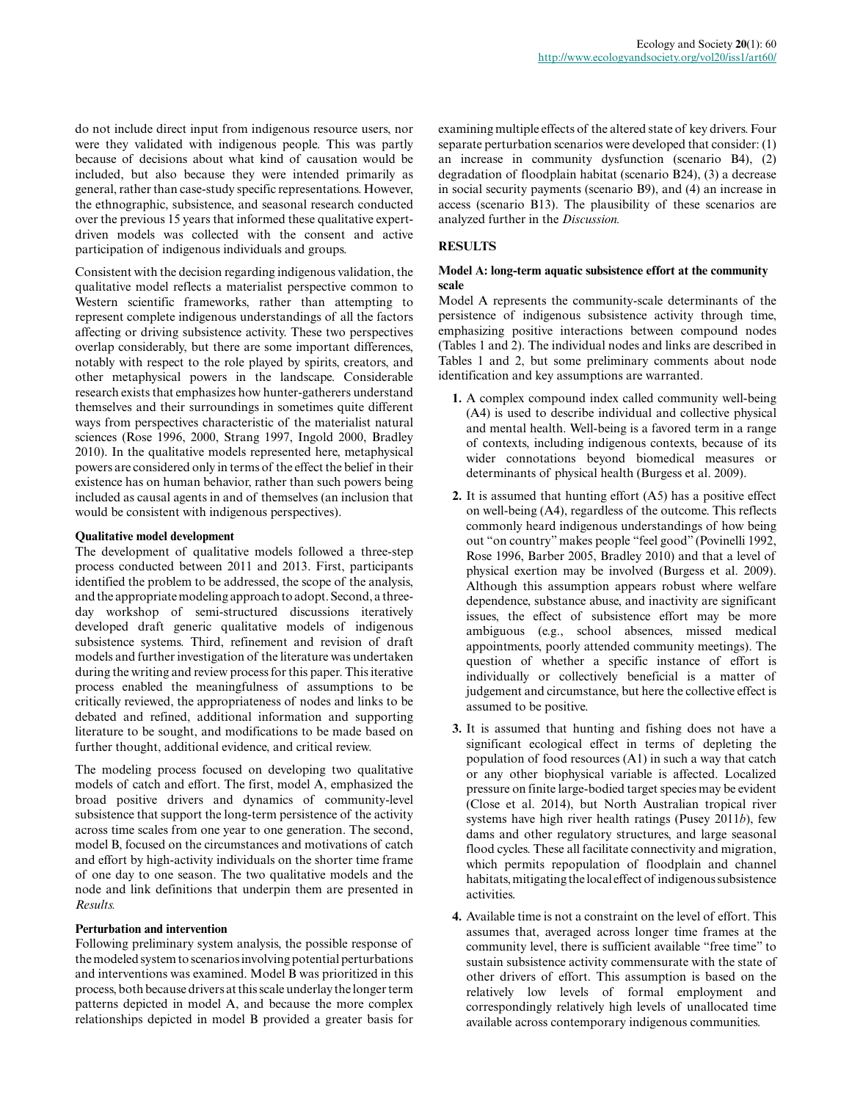do not include direct input from indigenous resource users, nor were they validated with indigenous people. This was partly because of decisions about what kind of causation would be included, but also because they were intended primarily as general, rather than case-study specific representations. However, the ethnographic, subsistence, and seasonal research conducted over the previous 15 years that informed these qualitative expertdriven models was collected with the consent and active participation of indigenous individuals and groups.

Consistent with the decision regarding indigenous validation, the qualitative model reflects a materialist perspective common to Western scientific frameworks, rather than attempting to represent complete indigenous understandings of all the factors affecting or driving subsistence activity. These two perspectives overlap considerably, but there are some important differences, notably with respect to the role played by spirits, creators, and other metaphysical powers in the landscape. Considerable research exists that emphasizes how hunter-gatherers understand themselves and their surroundings in sometimes quite different ways from perspectives characteristic of the materialist natural sciences (Rose 1996, 2000, Strang 1997, Ingold 2000, Bradley 2010). In the qualitative models represented here, metaphysical powers are considered only in terms of the effect the belief in their existence has on human behavior, rather than such powers being included as causal agents in and of themselves (an inclusion that would be consistent with indigenous perspectives).

## **Qualitative model development**

The development of qualitative models followed a three-step process conducted between 2011 and 2013. First, participants identified the problem to be addressed, the scope of the analysis, and the appropriate modeling approach to adopt. Second, a threeday workshop of semi-structured discussions iteratively developed draft generic qualitative models of indigenous subsistence systems. Third, refinement and revision of draft models and further investigation of the literature was undertaken during the writing and review process for this paper. This iterative process enabled the meaningfulness of assumptions to be critically reviewed, the appropriateness of nodes and links to be debated and refined, additional information and supporting literature to be sought, and modifications to be made based on further thought, additional evidence, and critical review.

The modeling process focused on developing two qualitative models of catch and effort. The first, model A, emphasized the broad positive drivers and dynamics of community-level subsistence that support the long-term persistence of the activity across time scales from one year to one generation. The second, model B, focused on the circumstances and motivations of catch and effort by high-activity individuals on the shorter time frame of one day to one season. The two qualitative models and the node and link definitions that underpin them are presented in *Results.*

#### **Perturbation and intervention**

Following preliminary system analysis, the possible response of the modeled system to scenarios involving potential perturbations and interventions was examined. Model B was prioritized in this process, both because drivers at this scale underlay the longer term patterns depicted in model A, and because the more complex relationships depicted in model B provided a greater basis for

examining multiple effects of the altered state of key drivers. Four separate perturbation scenarios were developed that consider: (1) an increase in community dysfunction (scenario B4), (2) degradation of floodplain habitat (scenario B24), (3) a decrease in social security payments (scenario B9), and (4) an increase in access (scenario B13). The plausibility of these scenarios are analyzed further in the *Discussion.*

# **RESULTS**

## **Model A: long-term aquatic subsistence effort at the community scale**

Model A represents the community-scale determinants of the persistence of indigenous subsistence activity through time, emphasizing positive interactions between compound nodes (Tables 1 and 2). The individual nodes and links are described in Tables 1 and 2, but some preliminary comments about node identification and key assumptions are warranted.

- **1.** A complex compound index called community well-being (A4) is used to describe individual and collective physical and mental health. Well-being is a favored term in a range of contexts, including indigenous contexts, because of its wider connotations beyond biomedical measures or determinants of physical health (Burgess et al. 2009).
- **2.** It is assumed that hunting effort (A5) has a positive effect on well-being (A4), regardless of the outcome. This reflects commonly heard indigenous understandings of how being out "on country" makes people "feel good" (Povinelli 1992, Rose 1996, Barber 2005, Bradley 2010) and that a level of physical exertion may be involved (Burgess et al. 2009). Although this assumption appears robust where welfare dependence, substance abuse, and inactivity are significant issues, the effect of subsistence effort may be more ambiguous (e.g., school absences, missed medical appointments, poorly attended community meetings). The question of whether a specific instance of effort is individually or collectively beneficial is a matter of judgement and circumstance, but here the collective effect is assumed to be positive.
- **3.** It is assumed that hunting and fishing does not have a significant ecological effect in terms of depleting the population of food resources (A1) in such a way that catch or any other biophysical variable is affected. Localized pressure on finite large-bodied target species may be evident (Close et al. 2014), but North Australian tropical river systems have high river health ratings (Pusey 2011*b*), few dams and other regulatory structures, and large seasonal flood cycles. These all facilitate connectivity and migration, which permits repopulation of floodplain and channel habitats, mitigating the local effect of indigenous subsistence activities.
- **4.** Available time is not a constraint on the level of effort. This assumes that, averaged across longer time frames at the community level, there is sufficient available "free time" to sustain subsistence activity commensurate with the state of other drivers of effort. This assumption is based on the relatively low levels of formal employment and correspondingly relatively high levels of unallocated time available across contemporary indigenous communities.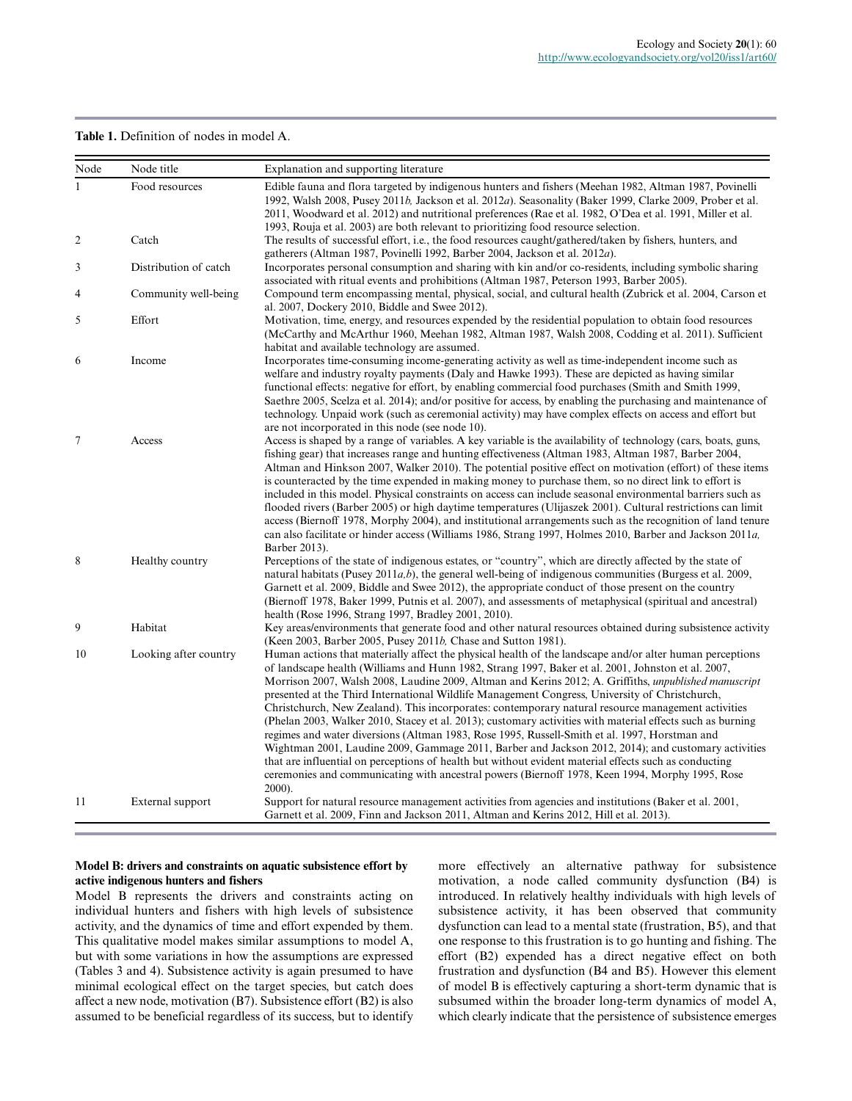#### **Table 1.** Definition of nodes in model A.

| Node | Node title            | Explanation and supporting literature                                                                                                                                                                                                                                                                                                                                                                                                                                                                                                                                                                                                                                                                                                                                                                                                                                                                                                                                                                                                                                                 |  |  |  |  |
|------|-----------------------|---------------------------------------------------------------------------------------------------------------------------------------------------------------------------------------------------------------------------------------------------------------------------------------------------------------------------------------------------------------------------------------------------------------------------------------------------------------------------------------------------------------------------------------------------------------------------------------------------------------------------------------------------------------------------------------------------------------------------------------------------------------------------------------------------------------------------------------------------------------------------------------------------------------------------------------------------------------------------------------------------------------------------------------------------------------------------------------|--|--|--|--|
|      | Food resources        | Edible fauna and flora targeted by indigenous hunters and fishers (Meehan 1982, Altman 1987, Povinelli<br>1992, Walsh 2008, Pusey 2011b, Jackson et al. 2012a). Seasonality (Baker 1999, Clarke 2009, Prober et al.<br>2011, Woodward et al. 2012) and nutritional preferences (Rae et al. 1982, O'Dea et al. 1991, Miller et al.<br>1993, Rouja et al. 2003) are both relevant to prioritizing food resource selection.                                                                                                                                                                                                                                                                                                                                                                                                                                                                                                                                                                                                                                                              |  |  |  |  |
| 2    | Catch                 | The results of successful effort, i.e., the food resources caught/gathered/taken by fishers, hunters, and<br>gatherers (Altman 1987, Povinelli 1992, Barber 2004, Jackson et al. 2012a).                                                                                                                                                                                                                                                                                                                                                                                                                                                                                                                                                                                                                                                                                                                                                                                                                                                                                              |  |  |  |  |
| 3    | Distribution of catch | Incorporates personal consumption and sharing with kin and/or co-residents, including symbolic sharing<br>associated with ritual events and prohibitions (Altman 1987, Peterson 1993, Barber 2005).                                                                                                                                                                                                                                                                                                                                                                                                                                                                                                                                                                                                                                                                                                                                                                                                                                                                                   |  |  |  |  |
| 4    | Community well-being  | Compound term encompassing mental, physical, social, and cultural health (Zubrick et al. 2004, Carson et<br>al. 2007, Dockery 2010, Biddle and Swee 2012).                                                                                                                                                                                                                                                                                                                                                                                                                                                                                                                                                                                                                                                                                                                                                                                                                                                                                                                            |  |  |  |  |
| 5    | Effort                | Motivation, time, energy, and resources expended by the residential population to obtain food resources<br>(McCarthy and McArthur 1960, Meehan 1982, Altman 1987, Walsh 2008, Codding et al. 2011). Sufficient<br>habitat and available technology are assumed.                                                                                                                                                                                                                                                                                                                                                                                                                                                                                                                                                                                                                                                                                                                                                                                                                       |  |  |  |  |
| 6    | Income                | Incorporates time-consuming income-generating activity as well as time-independent income such as<br>welfare and industry royalty payments (Daly and Hawke 1993). These are depicted as having similar<br>functional effects: negative for effort, by enabling commercial food purchases (Smith and Smith 1999,<br>Saethre 2005, Scelza et al. 2014); and/or positive for access, by enabling the purchasing and maintenance of<br>technology. Unpaid work (such as ceremonial activity) may have complex effects on access and effort but<br>are not incorporated in this node (see node 10).                                                                                                                                                                                                                                                                                                                                                                                                                                                                                        |  |  |  |  |
| 7    | Access                | Access is shaped by a range of variables. A key variable is the availability of technology (cars, boats, guns,<br>fishing gear) that increases range and hunting effectiveness (Altman 1983, Altman 1987, Barber 2004,<br>Altman and Hinkson 2007, Walker 2010). The potential positive effect on motivation (effort) of these items<br>is counteracted by the time expended in making money to purchase them, so no direct link to effort is<br>included in this model. Physical constraints on access can include seasonal environmental barriers such as<br>flooded rivers (Barber 2005) or high daytime temperatures (Ulijaszek 2001). Cultural restrictions can limit<br>access (Biernoff 1978, Morphy 2004), and institutional arrangements such as the recognition of land tenure<br>can also facilitate or hinder access (Williams 1986, Strang 1997, Holmes 2010, Barber and Jackson 2011a,<br>Barber 2013).                                                                                                                                                                 |  |  |  |  |
| 8    | Healthy country       | Perceptions of the state of indigenous estates, or "country", which are directly affected by the state of<br>natural habitats (Pusey 2011 <i>a,b</i> ), the general well-being of indigenous communities (Burgess et al. 2009,<br>Garnett et al. 2009, Biddle and Swee 2012), the appropriate conduct of those present on the country<br>(Biernoff 1978, Baker 1999, Putnis et al. 2007), and assessments of metaphysical (spiritual and ancestral)<br>health (Rose 1996, Strang 1997, Bradley 2001, 2010).                                                                                                                                                                                                                                                                                                                                                                                                                                                                                                                                                                           |  |  |  |  |
| 9    | Habitat               | Key areas/environments that generate food and other natural resources obtained during subsistence activity<br>(Keen 2003, Barber 2005, Pusey 2011b, Chase and Sutton 1981).                                                                                                                                                                                                                                                                                                                                                                                                                                                                                                                                                                                                                                                                                                                                                                                                                                                                                                           |  |  |  |  |
| 10   | Looking after country | Human actions that materially affect the physical health of the landscape and/or alter human perceptions<br>of landscape health (Williams and Hunn 1982, Strang 1997, Baker et al. 2001, Johnston et al. 2007,<br>Morrison 2007, Walsh 2008, Laudine 2009, Altman and Kerins 2012; A. Griffiths, <i>unpublished manuscript</i><br>presented at the Third International Wildlife Management Congress, University of Christchurch,<br>Christchurch, New Zealand). This incorporates: contemporary natural resource management activities<br>(Phelan 2003, Walker 2010, Stacey et al. 2013); customary activities with material effects such as burning<br>regimes and water diversions (Altman 1983, Rose 1995, Russell-Smith et al. 1997, Horstman and<br>Wightman 2001, Laudine 2009, Gammage 2011, Barber and Jackson 2012, 2014); and customary activities<br>that are influential on perceptions of health but without evident material effects such as conducting<br>ceremonies and communicating with ancestral powers (Biernoff 1978, Keen 1994, Morphy 1995, Rose<br>$2000$ ). |  |  |  |  |
| 11   | External support      | Support for natural resource management activities from agencies and institutions (Baker et al. 2001,<br>Garnett et al. 2009, Finn and Jackson 2011, Altman and Kerins 2012, Hill et al. 2013).                                                                                                                                                                                                                                                                                                                                                                                                                                                                                                                                                                                                                                                                                                                                                                                                                                                                                       |  |  |  |  |

## **Model B: drivers and constraints on aquatic subsistence effort by active indigenous hunters and fishers**

Model B represents the drivers and constraints acting on individual hunters and fishers with high levels of subsistence activity, and the dynamics of time and effort expended by them. This qualitative model makes similar assumptions to model A, but with some variations in how the assumptions are expressed (Tables 3 and 4). Subsistence activity is again presumed to have minimal ecological effect on the target species, but catch does affect a new node, motivation (B7). Subsistence effort (B2) is also assumed to be beneficial regardless of its success, but to identify

more effectively an alternative pathway for subsistence motivation, a node called community dysfunction (B4) is introduced. In relatively healthy individuals with high levels of subsistence activity, it has been observed that community dysfunction can lead to a mental state (frustration, B5), and that one response to this frustration is to go hunting and fishing. The effort (B2) expended has a direct negative effect on both frustration and dysfunction (B4 and B5). However this element of model B is effectively capturing a short-term dynamic that is subsumed within the broader long-term dynamics of model A, which clearly indicate that the persistence of subsistence emerges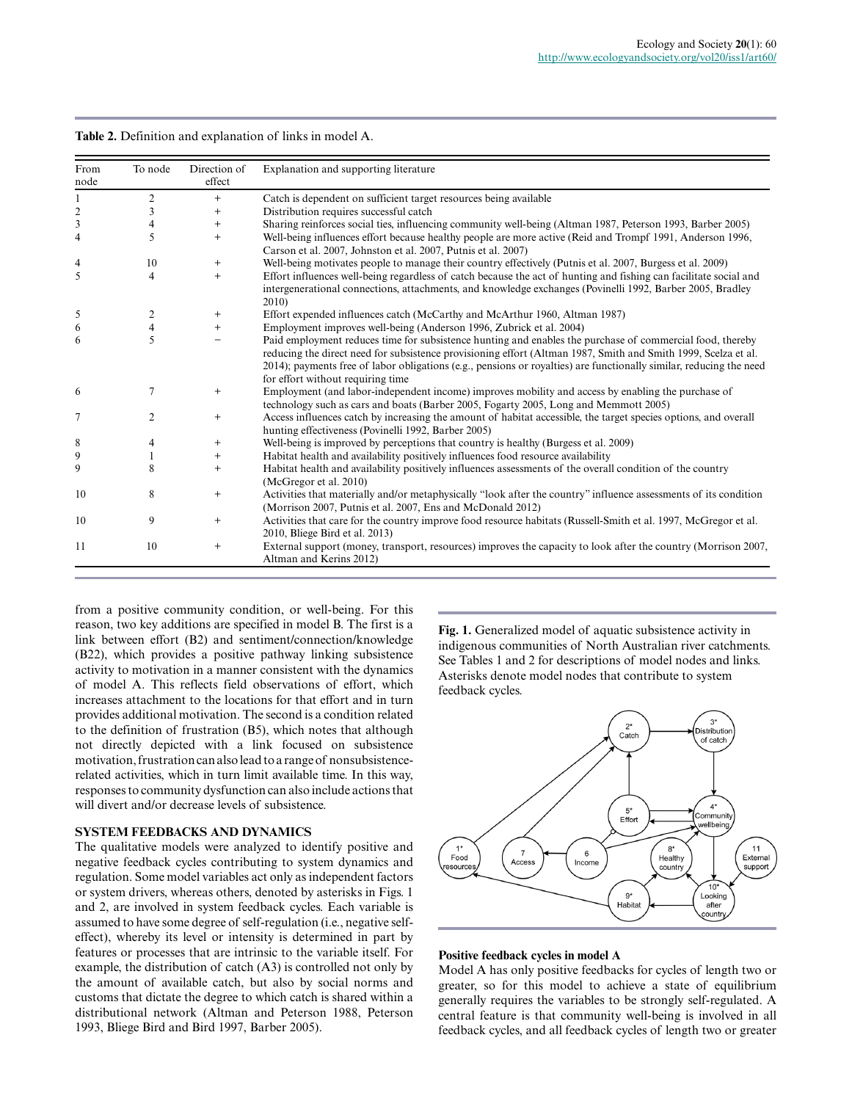| To node<br>Direction of<br>From |                |        | Explanation and supporting literature                                                                                                                                                                                                                                                                                                                                                   |  |  |  |  |
|---------------------------------|----------------|--------|-----------------------------------------------------------------------------------------------------------------------------------------------------------------------------------------------------------------------------------------------------------------------------------------------------------------------------------------------------------------------------------------|--|--|--|--|
| node                            |                | effect |                                                                                                                                                                                                                                                                                                                                                                                         |  |  |  |  |
| 1                               | $\overline{c}$ | $+$    | Catch is dependent on sufficient target resources being available                                                                                                                                                                                                                                                                                                                       |  |  |  |  |
| 2                               | 3              | $^{+}$ | Distribution requires successful catch                                                                                                                                                                                                                                                                                                                                                  |  |  |  |  |
| 3                               | $\overline{4}$ | $^{+}$ | Sharing reinforces social ties, influencing community well-being (Altman 1987, Peterson 1993, Barber 2005)                                                                                                                                                                                                                                                                              |  |  |  |  |
| 4                               | 5              | $+$    | Well-being influences effort because healthy people are more active (Reid and Trompf 1991, Anderson 1996,<br>Carson et al. 2007, Johnston et al. 2007, Putnis et al. 2007)                                                                                                                                                                                                              |  |  |  |  |
| 4                               | 10             | $^{+}$ | Well-being motivates people to manage their country effectively (Putnis et al. 2007, Burgess et al. 2009)                                                                                                                                                                                                                                                                               |  |  |  |  |
| 5                               | $\overline{4}$ | $^{+}$ | Effort influences well-being regardless of catch because the act of hunting and fishing can facilitate social and<br>intergenerational connections, attachments, and knowledge exchanges (Povinelli 1992, Barber 2005, Bradley<br>2010)                                                                                                                                                 |  |  |  |  |
| 5                               | 2              | $^{+}$ | Effort expended influences catch (McCarthy and McArthur 1960, Altman 1987)                                                                                                                                                                                                                                                                                                              |  |  |  |  |
| 6                               | 4              | $^{+}$ | Employment improves well-being (Anderson 1996, Zubrick et al. 2004)                                                                                                                                                                                                                                                                                                                     |  |  |  |  |
| 6                               | 5              |        | Paid employment reduces time for subsistence hunting and enables the purchase of commercial food, thereby<br>reducing the direct need for subsistence provisioning effort (Altman 1987, Smith and Smith 1999, Scelza et al.<br>2014); payments free of labor obligations (e.g., pensions or royalties) are functionally similar, reducing the need<br>for effort without requiring time |  |  |  |  |
| 6                               | 7              | $^{+}$ | Employment (and labor-independent income) improves mobility and access by enabling the purchase of<br>technology such as cars and boats (Barber 2005, Fogarty 2005, Long and Memmott 2005)                                                                                                                                                                                              |  |  |  |  |
| 7                               | $\overline{2}$ | $^{+}$ | Access influences catch by increasing the amount of habitat accessible, the target species options, and overall<br>hunting effectiveness (Povinelli 1992, Barber 2005)                                                                                                                                                                                                                  |  |  |  |  |
| 8                               | 4              | $^{+}$ | Well-being is improved by perceptions that country is healthy (Burgess et al. 2009)                                                                                                                                                                                                                                                                                                     |  |  |  |  |
| 9                               |                | $^{+}$ | Habitat health and availability positively influences food resource availability                                                                                                                                                                                                                                                                                                        |  |  |  |  |
| 9                               | 8              | $+$    | Habitat health and availability positively influences assessments of the overall condition of the country<br>(McGregor et al. 2010)                                                                                                                                                                                                                                                     |  |  |  |  |
| 10                              | 8              | $^{+}$ | Activities that materially and/or metaphysically "look after the country" influence assessments of its condition<br>(Morrison 2007, Putnis et al. 2007, Ens and McDonald 2012)                                                                                                                                                                                                          |  |  |  |  |
| 10                              | 9              | $^{+}$ | Activities that care for the country improve food resource habitats (Russell-Smith et al. 1997, McGregor et al.<br>2010, Bliege Bird et al. 2013)                                                                                                                                                                                                                                       |  |  |  |  |
| 11                              | 10             | $^{+}$ | External support (money, transport, resources) improves the capacity to look after the country (Morrison 2007,<br>Altman and Kerins 2012)                                                                                                                                                                                                                                               |  |  |  |  |

**Table 2.** Definition and explanation of links in model A.

from a positive community condition, or well-being. For this reason, two key additions are specified in model B. The first is a link between effort (B2) and sentiment/connection/knowledge (B22), which provides a positive pathway linking subsistence activity to motivation in a manner consistent with the dynamics of model A. This reflects field observations of effort, which increases attachment to the locations for that effort and in turn provides additional motivation. The second is a condition related to the definition of frustration (B5), which notes that although not directly depicted with a link focused on subsistence motivation, frustration can also lead to a range of nonsubsistencerelated activities, which in turn limit available time. In this way, responses to community dysfunction can also include actions that will divert and/or decrease levels of subsistence.

## **SYSTEM FEEDBACKS AND DYNAMICS**

The qualitative models were analyzed to identify positive and negative feedback cycles contributing to system dynamics and regulation. Some model variables act only as independent factors or system drivers, whereas others, denoted by asterisks in Figs. 1 and 2, are involved in system feedback cycles. Each variable is assumed to have some degree of self-regulation (i.e., negative selfeffect), whereby its level or intensity is determined in part by features or processes that are intrinsic to the variable itself. For example, the distribution of catch (A3) is controlled not only by the amount of available catch, but also by social norms and customs that dictate the degree to which catch is shared within a distributional network (Altman and Peterson 1988, Peterson 1993, Bliege Bird and Bird 1997, Barber 2005).

**Fig. 1.** Generalized model of aquatic subsistence activity in indigenous communities of North Australian river catchments. See Tables 1 and 2 for descriptions of model nodes and links. Asterisks denote model nodes that contribute to system feedback cycles.



## **Positive feedback cycles in model A**

Model A has only positive feedbacks for cycles of length two or greater, so for this model to achieve a state of equilibrium generally requires the variables to be strongly self-regulated. A central feature is that community well-being is involved in all feedback cycles, and all feedback cycles of length two or greater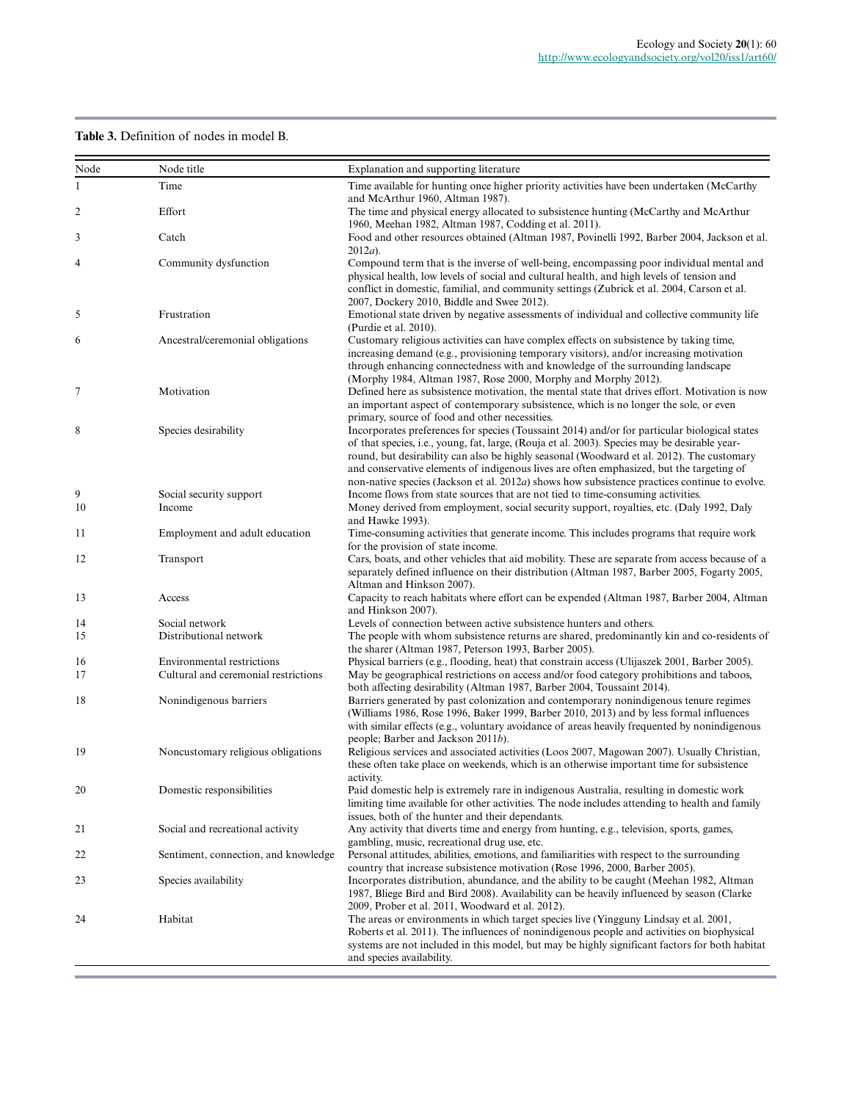## **Table 3.** Definition of nodes in model B.

| Node                    | Node title                           | Explanation and supporting literature                                                                                                                                                                                                                                                                                                                                                                                                                                                             |
|-------------------------|--------------------------------------|---------------------------------------------------------------------------------------------------------------------------------------------------------------------------------------------------------------------------------------------------------------------------------------------------------------------------------------------------------------------------------------------------------------------------------------------------------------------------------------------------|
| 1                       | Time                                 | Time available for hunting once higher priority activities have been undertaken (McCarthy<br>and McArthur 1960, Altman 1987).                                                                                                                                                                                                                                                                                                                                                                     |
| $\overline{\mathbf{c}}$ | Effort                               | The time and physical energy allocated to subsistence hunting (McCarthy and McArthur<br>1960, Meehan 1982, Altman 1987, Codding et al. 2011).                                                                                                                                                                                                                                                                                                                                                     |
| 3                       | Catch                                | Food and other resources obtained (Altman 1987, Povinelli 1992, Barber 2004, Jackson et al.<br>$2012a)$ .                                                                                                                                                                                                                                                                                                                                                                                         |
| 4                       | Community dysfunction                | Compound term that is the inverse of well-being, encompassing poor individual mental and<br>physical health, low levels of social and cultural health, and high levels of tension and<br>conflict in domestic, familial, and community settings (Zubrick et al. 2004, Carson et al.<br>2007, Dockery 2010, Biddle and Swee 2012).                                                                                                                                                                 |
| 5                       | Frustration                          | Emotional state driven by negative assessments of individual and collective community life<br>(Purdie et al. 2010).                                                                                                                                                                                                                                                                                                                                                                               |
| 6                       | Ancestral/ceremonial obligations     | Customary religious activities can have complex effects on subsistence by taking time,<br>increasing demand (e.g., provisioning temporary visitors), and/or increasing motivation<br>through enhancing connectedness with and knowledge of the surrounding landscape<br>(Morphy 1984, Altman 1987, Rose 2000, Morphy and Morphy 2012).                                                                                                                                                            |
| 7                       | Motivation                           | Defined here as subsistence motivation, the mental state that drives effort. Motivation is now<br>an important aspect of contemporary subsistence, which is no longer the sole, or even<br>primary, source of food and other necessities.                                                                                                                                                                                                                                                         |
| 8                       | Species desirability                 | Incorporates preferences for species (Toussaint 2014) and/or for particular biological states<br>of that species, i.e., young, fat, large, (Rouja et al. 2003). Species may be desirable year-<br>round, but desirability can also be highly seasonal (Woodward et al. 2012). The customary<br>and conservative elements of indigenous lives are often emphasized, but the targeting of<br>non-native species (Jackson et al. 2012 <i>a</i> ) shows how subsistence practices continue to evolve. |
| 9                       | Social security support              | Income flows from state sources that are not tied to time-consuming activities.                                                                                                                                                                                                                                                                                                                                                                                                                   |
| 10                      | Income                               | Money derived from employment, social security support, royalties, etc. (Daly 1992, Daly<br>and Hawke 1993).                                                                                                                                                                                                                                                                                                                                                                                      |
| 11                      | Employment and adult education       | Time-consuming activities that generate income. This includes programs that require work<br>for the provision of state income.                                                                                                                                                                                                                                                                                                                                                                    |
| 12                      | Transport                            | Cars, boats, and other vehicles that aid mobility. These are separate from access because of a<br>separately defined influence on their distribution (Altman 1987, Barber 2005, Fogarty 2005,<br>Altman and Hinkson 2007).                                                                                                                                                                                                                                                                        |
| 13                      | Access                               | Capacity to reach habitats where effort can be expended (Altman 1987, Barber 2004, Altman<br>and Hinkson 2007).                                                                                                                                                                                                                                                                                                                                                                                   |
| 14                      | Social network                       | Levels of connection between active subsistence hunters and others.                                                                                                                                                                                                                                                                                                                                                                                                                               |
| 15                      | Distributional network               | The people with whom subsistence returns are shared, predominantly kin and co-residents of<br>the sharer (Altman 1987, Peterson 1993, Barber 2005).                                                                                                                                                                                                                                                                                                                                               |
| 16                      | Environmental restrictions           | Physical barriers (e.g., flooding, heat) that constrain access (Ulijaszek 2001, Barber 2005).                                                                                                                                                                                                                                                                                                                                                                                                     |
| 17                      | Cultural and ceremonial restrictions | May be geographical restrictions on access and/or food category prohibitions and taboos,<br>both affecting desirability (Altman 1987, Barber 2004, Toussaint 2014).                                                                                                                                                                                                                                                                                                                               |
| 18                      | Nonindigenous barriers               | Barriers generated by past colonization and contemporary nonindigenous tenure regimes<br>(Williams 1986, Rose 1996, Baker 1999, Barber 2010, 2013) and by less formal influences<br>with similar effects (e.g., voluntary avoidance of areas heavily frequented by nonindigenous                                                                                                                                                                                                                  |
| 19                      | Noncustomary religious obligations   | people; Barber and Jackson 2011b).<br>Religious services and associated activities (Loos 2007, Magowan 2007). Usually Christian,<br>these often take place on weekends, which is an otherwise important time for subsistence<br>activity.                                                                                                                                                                                                                                                         |
| 20                      | Domestic responsibilities            | Paid domestic help is extremely rare in indigenous Australia, resulting in domestic work<br>limiting time available for other activities. The node includes attending to health and family<br>issues, both of the hunter and their dependants.                                                                                                                                                                                                                                                    |
| 21                      | Social and recreational activity     | Any activity that diverts time and energy from hunting, e.g., television, sports, games,                                                                                                                                                                                                                                                                                                                                                                                                          |
| 22                      | Sentiment, connection, and knowledge | gambling, music, recreational drug use, etc.<br>Personal attitudes, abilities, emotions, and familiarities with respect to the surrounding<br>country that increase subsistence motivation (Rose 1996, 2000, Barber 2005).                                                                                                                                                                                                                                                                        |
| 23                      | Species availability                 | Incorporates distribution, abundance, and the ability to be caught (Meehan 1982, Altman<br>1987, Bliege Bird and Bird 2008). Availability can be heavily influenced by season (Clarke                                                                                                                                                                                                                                                                                                             |
| 24                      | Habitat                              | 2009, Prober et al. 2011, Woodward et al. 2012).<br>The areas or environments in which target species live (Yingguny Lindsay et al. 2001,<br>Roberts et al. 2011). The influences of nonindigenous people and activities on biophysical<br>systems are not included in this model, but may be highly significant factors for both habitat<br>and species availability.                                                                                                                            |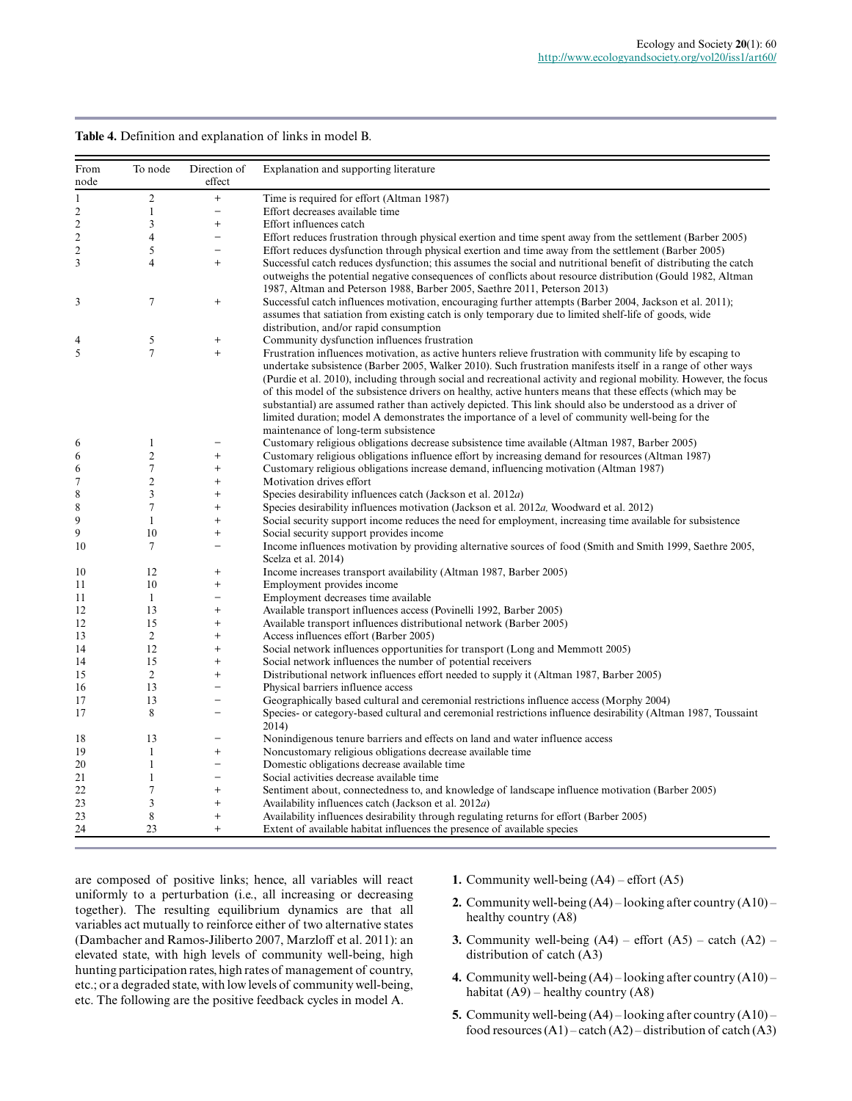#### **Table 4.** Definition and explanation of links in model B.

| From<br>node   | To node        | Direction of<br>effect   | Explanation and supporting literature                                                                                                                                                                                                                                                                                                                                                                                                                                                                                                                                                                      |  |  |  |  |
|----------------|----------------|--------------------------|------------------------------------------------------------------------------------------------------------------------------------------------------------------------------------------------------------------------------------------------------------------------------------------------------------------------------------------------------------------------------------------------------------------------------------------------------------------------------------------------------------------------------------------------------------------------------------------------------------|--|--|--|--|
| $\mathbf{1}$   | $\overline{c}$ | $^{+}$                   | Time is required for effort (Altman 1987)                                                                                                                                                                                                                                                                                                                                                                                                                                                                                                                                                                  |  |  |  |  |
| $\overline{c}$ | 1              | $\overline{\phantom{0}}$ | Effort decreases available time                                                                                                                                                                                                                                                                                                                                                                                                                                                                                                                                                                            |  |  |  |  |
| $\overline{c}$ | 3              | $^{+}$                   | Effort influences catch                                                                                                                                                                                                                                                                                                                                                                                                                                                                                                                                                                                    |  |  |  |  |
| $\overline{c}$ | $\overline{4}$ | L,                       | Effort reduces frustration through physical exertion and time spent away from the settlement (Barber 2005)                                                                                                                                                                                                                                                                                                                                                                                                                                                                                                 |  |  |  |  |
| $\overline{c}$ | 5              | $\overline{\phantom{0}}$ | Effort reduces dysfunction through physical exertion and time away from the settlement (Barber 2005)                                                                                                                                                                                                                                                                                                                                                                                                                                                                                                       |  |  |  |  |
| 3              | 4              | $\ddot{}$                | Successful catch reduces dysfunction; this assumes the social and nutritional benefit of distributing the catch                                                                                                                                                                                                                                                                                                                                                                                                                                                                                            |  |  |  |  |
|                |                |                          | outweighs the potential negative consequences of conflicts about resource distribution (Gould 1982, Altman<br>1987, Altman and Peterson 1988, Barber 2005, Saethre 2011, Peterson 2013)                                                                                                                                                                                                                                                                                                                                                                                                                    |  |  |  |  |
| 3              | 7              | $^{+}$                   | Successful catch influences motivation, encouraging further attempts (Barber 2004, Jackson et al. 2011);<br>assumes that satiation from existing catch is only temporary due to limited shelf-life of goods, wide<br>distribution, and/or rapid consumption                                                                                                                                                                                                                                                                                                                                                |  |  |  |  |
| 4              | 5              | $^{+}$                   | Community dysfunction influences frustration                                                                                                                                                                                                                                                                                                                                                                                                                                                                                                                                                               |  |  |  |  |
| 5              | $\overline{7}$ | $\ddot{}$                | Frustration influences motivation, as active hunters relieve frustration with community life by escaping to                                                                                                                                                                                                                                                                                                                                                                                                                                                                                                |  |  |  |  |
|                |                |                          | undertake subsistence (Barber 2005, Walker 2010). Such frustration manifests itself in a range of other ways<br>(Purdie et al. 2010), including through social and recreational activity and regional mobility. However, the focus<br>of this model of the subsistence drivers on healthy, active hunters means that these effects (which may be<br>substantial) are assumed rather than actively depicted. This link should also be understood as a driver of<br>limited duration; model A demonstrates the importance of a level of community well-being for the<br>maintenance of long-term subsistence |  |  |  |  |
| 6              | $\mathbf{1}$   |                          | Customary religious obligations decrease subsistence time available (Altman 1987, Barber 2005)                                                                                                                                                                                                                                                                                                                                                                                                                                                                                                             |  |  |  |  |
| 6              | $\overline{c}$ | $^{+}$                   | Customary religious obligations influence effort by increasing demand for resources (Altman 1987)                                                                                                                                                                                                                                                                                                                                                                                                                                                                                                          |  |  |  |  |
| 6              | $\tau$         | $^{+}$                   | Customary religious obligations increase demand, influencing motivation (Altman 1987)                                                                                                                                                                                                                                                                                                                                                                                                                                                                                                                      |  |  |  |  |
| 7              | $\overline{c}$ | $^{+}$                   | Motivation drives effort                                                                                                                                                                                                                                                                                                                                                                                                                                                                                                                                                                                   |  |  |  |  |
| $\,$ $\,$      | 3              | $\ddot{}$                | Species desirability influences catch (Jackson et al. 2012a)                                                                                                                                                                                                                                                                                                                                                                                                                                                                                                                                               |  |  |  |  |
| 8              | 7              | $^{+}$                   | Species desirability influences motivation (Jackson et al. 2012a, Woodward et al. 2012)                                                                                                                                                                                                                                                                                                                                                                                                                                                                                                                    |  |  |  |  |
| 9              | 1              | $^{+}$                   | Social security support income reduces the need for employment, increasing time available for subsistence                                                                                                                                                                                                                                                                                                                                                                                                                                                                                                  |  |  |  |  |
| 9              | 10             | $^{+}$                   | Social security support provides income                                                                                                                                                                                                                                                                                                                                                                                                                                                                                                                                                                    |  |  |  |  |
| 10             | 7              |                          | Income influences motivation by providing alternative sources of food (Smith and Smith 1999, Saethre 2005,<br>Scelza et al. 2014)                                                                                                                                                                                                                                                                                                                                                                                                                                                                          |  |  |  |  |
| 10             | 12             | $^{+}$                   | Income increases transport availability (Altman 1987, Barber 2005)                                                                                                                                                                                                                                                                                                                                                                                                                                                                                                                                         |  |  |  |  |
| 11             | 10             | $\ddot{}$                | Employment provides income                                                                                                                                                                                                                                                                                                                                                                                                                                                                                                                                                                                 |  |  |  |  |
| 11             | $\mathbf{1}$   | $\overline{\phantom{0}}$ | Employment decreases time available                                                                                                                                                                                                                                                                                                                                                                                                                                                                                                                                                                        |  |  |  |  |
| 12             | 13             | $^{+}$                   | Available transport influences access (Povinelli 1992, Barber 2005)                                                                                                                                                                                                                                                                                                                                                                                                                                                                                                                                        |  |  |  |  |
| 12             | 15             | $^{+}$                   | Available transport influences distributional network (Barber 2005)                                                                                                                                                                                                                                                                                                                                                                                                                                                                                                                                        |  |  |  |  |
| 13             | 2              | $^{+}$                   | Access influences effort (Barber 2005)                                                                                                                                                                                                                                                                                                                                                                                                                                                                                                                                                                     |  |  |  |  |
| 14             | 12             | $^{+}$                   | Social network influences opportunities for transport (Long and Memmott 2005)                                                                                                                                                                                                                                                                                                                                                                                                                                                                                                                              |  |  |  |  |
| 14             | 15             | $^{+}$                   | Social network influences the number of potential receivers                                                                                                                                                                                                                                                                                                                                                                                                                                                                                                                                                |  |  |  |  |
| 15             | $\overline{2}$ | $^{+}$                   | Distributional network influences effort needed to supply it (Altman 1987, Barber 2005)                                                                                                                                                                                                                                                                                                                                                                                                                                                                                                                    |  |  |  |  |
| 16             | 13             | $\overline{\phantom{0}}$ | Physical barriers influence access                                                                                                                                                                                                                                                                                                                                                                                                                                                                                                                                                                         |  |  |  |  |
| 17             | 13             | $\overline{\phantom{0}}$ | Geographically based cultural and ceremonial restrictions influence access (Morphy 2004)                                                                                                                                                                                                                                                                                                                                                                                                                                                                                                                   |  |  |  |  |
| 17             | 8              | $\equiv$                 | Species- or category-based cultural and ceremonial restrictions influence desirability (Altman 1987, Toussaint<br>2014)                                                                                                                                                                                                                                                                                                                                                                                                                                                                                    |  |  |  |  |
| 18             | 13             | -                        | Nonindigenous tenure barriers and effects on land and water influence access                                                                                                                                                                                                                                                                                                                                                                                                                                                                                                                               |  |  |  |  |
| 19             | 1              | $^{+}$                   | Noncustomary religious obligations decrease available time                                                                                                                                                                                                                                                                                                                                                                                                                                                                                                                                                 |  |  |  |  |
| 20             | $\mathbf{1}$   | $\overline{\phantom{0}}$ | Domestic obligations decrease available time                                                                                                                                                                                                                                                                                                                                                                                                                                                                                                                                                               |  |  |  |  |
| 21             | $\mathbf{1}$   | $\overline{\phantom{0}}$ | Social activities decrease available time                                                                                                                                                                                                                                                                                                                                                                                                                                                                                                                                                                  |  |  |  |  |
| 22             | $\tau$         | $^{+}$                   | Sentiment about, connectedness to, and knowledge of landscape influence motivation (Barber 2005)                                                                                                                                                                                                                                                                                                                                                                                                                                                                                                           |  |  |  |  |
| 23             | 3              | $^{+}$                   | Availability influences catch (Jackson et al. 2012a)                                                                                                                                                                                                                                                                                                                                                                                                                                                                                                                                                       |  |  |  |  |
| 23             | 8              | $^{+}$                   | Availability influences desirability through regulating returns for effort (Barber 2005)                                                                                                                                                                                                                                                                                                                                                                                                                                                                                                                   |  |  |  |  |
| 24             | 23             | $^{+}$                   | Extent of available habitat influences the presence of available species                                                                                                                                                                                                                                                                                                                                                                                                                                                                                                                                   |  |  |  |  |
|                |                |                          |                                                                                                                                                                                                                                                                                                                                                                                                                                                                                                                                                                                                            |  |  |  |  |

are composed of positive links; hence, all variables will react uniformly to a perturbation (i.e., all increasing or decreasing together). The resulting equilibrium dynamics are that all variables act mutually to reinforce either of two alternative states (Dambacher and Ramos-Jiliberto 2007, Marzloff et al. 2011): an elevated state, with high levels of community well-being, high hunting participation rates, high rates of management of country, etc.; or a degraded state, with low levels of community well-being, etc. The following are the positive feedback cycles in model A.

- **1.** Community well-being (A4) effort (A5)
- **2.** Community well-being (A4) looking after country (A10) healthy country (A8)
- **3.** Community well-being  $(A4)$  effort  $(A5)$  catch  $(A2)$  distribution of catch (A3)
- **4.** Community well-being (A4) looking after country (A10) habitat (A9) – healthy country (A8)
- **5.** Community well-being (A4) looking after country (A10) food resources  $(A1)$  – catch  $(A2)$  – distribution of catch  $(A3)$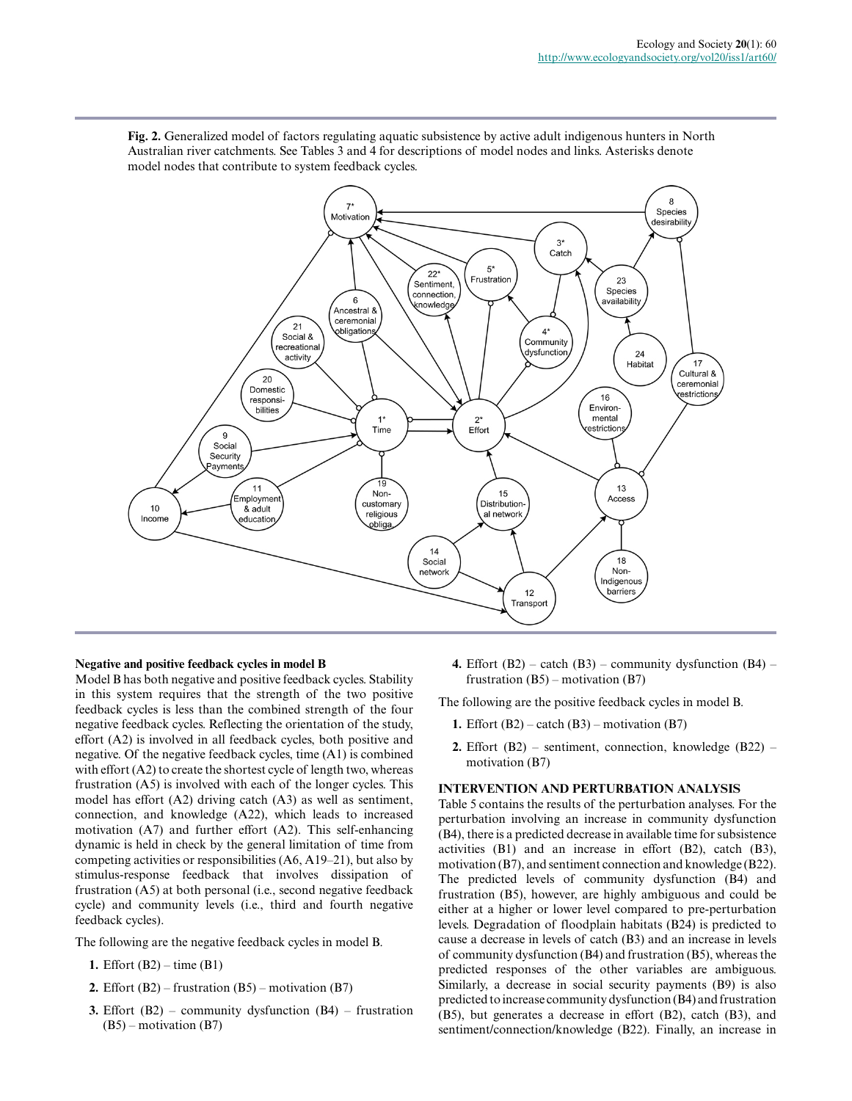model nodes that contribute to system feedback cycles.  $\mathsf{R}$  $\overline{7}$ Species Motivation desirabilih  $3*$ Catch  $5*$  $22'$ Frustration  $2<sub>3</sub>$ Sentiment. Species connection 6 . .<br>availability nowledge Ancestral & ceremonial  $21$ bligations Social & Community **Pereationa** lysfunctio 24 activity Habitat  $17$ Cultural &  $20$ ceremonial Domestic estrictions 16 responsi-Environbilities mental  $2'$ Effort estriction Time  $\mathbf{q}$ Social Security ayments  $\overline{19}$  $11$ 13 Non-15 Employmen Access Distributioncustomary  $10$  $\overline{\mathbf{a}}$  adult religious al network Income ducation obliga,  $14$ 18 Social  $Non$ network Indigenous barriers  $12$ Transport

**Fig. 2.** Generalized model of factors regulating aquatic subsistence by active adult indigenous hunters in North Australian river catchments. See Tables 3 and 4 for descriptions of model nodes and links. Asterisks denote

# **Negative and positive feedback cycles in model B**

Model B has both negative and positive feedback cycles. Stability in this system requires that the strength of the two positive feedback cycles is less than the combined strength of the four negative feedback cycles. Reflecting the orientation of the study, effort (A2) is involved in all feedback cycles, both positive and negative. Of the negative feedback cycles, time (A1) is combined with effort (A2) to create the shortest cycle of length two, whereas frustration (A5) is involved with each of the longer cycles. This model has effort (A2) driving catch (A3) as well as sentiment, connection, and knowledge (A22), which leads to increased motivation (A7) and further effort (A2). This self-enhancing dynamic is held in check by the general limitation of time from competing activities or responsibilities (A6, A19–21), but also by stimulus-response feedback that involves dissipation of frustration (A5) at both personal (i.e., second negative feedback cycle) and community levels (i.e., third and fourth negative feedback cycles).

The following are the negative feedback cycles in model B.

- **1.** Effort (B2) time (B1)
- **2.**  $Effort (B2) frustration (B5) motivation (B7)$
- **3.** Effort (B2) community dysfunction (B4) frustration (B5) – motivation (B7)

**4.** Effort  $(B2)$  – catch  $(B3)$  – community dysfunction  $(B4)$  – frustration  $(B5)$  – motivation  $(B7)$ 

The following are the positive feedback cycles in model B.

- **1.** Effort  $(B2)$  catch  $(B3)$  motivation  $(B7)$
- **2.** Effort (B2) sentiment, connection, knowledge (B22) motivation (B7)

#### **INTERVENTION AND PERTURBATION ANALYSIS**

Table 5 contains the results of the perturbation analyses. For the perturbation involving an increase in community dysfunction (B4), there is a predicted decrease in available time for subsistence activities (B1) and an increase in effort (B2), catch (B3), motivation (B7), and sentiment connection and knowledge (B22). The predicted levels of community dysfunction (B4) and frustration (B5), however, are highly ambiguous and could be either at a higher or lower level compared to pre-perturbation levels. Degradation of floodplain habitats (B24) is predicted to cause a decrease in levels of catch (B3) and an increase in levels of community dysfunction (B4) and frustration (B5), whereas the predicted responses of the other variables are ambiguous. Similarly, a decrease in social security payments (B9) is also predicted to increase community dysfunction (B4) and frustration (B5), but generates a decrease in effort (B2), catch (B3), and sentiment/connection/knowledge (B22). Finally, an increase in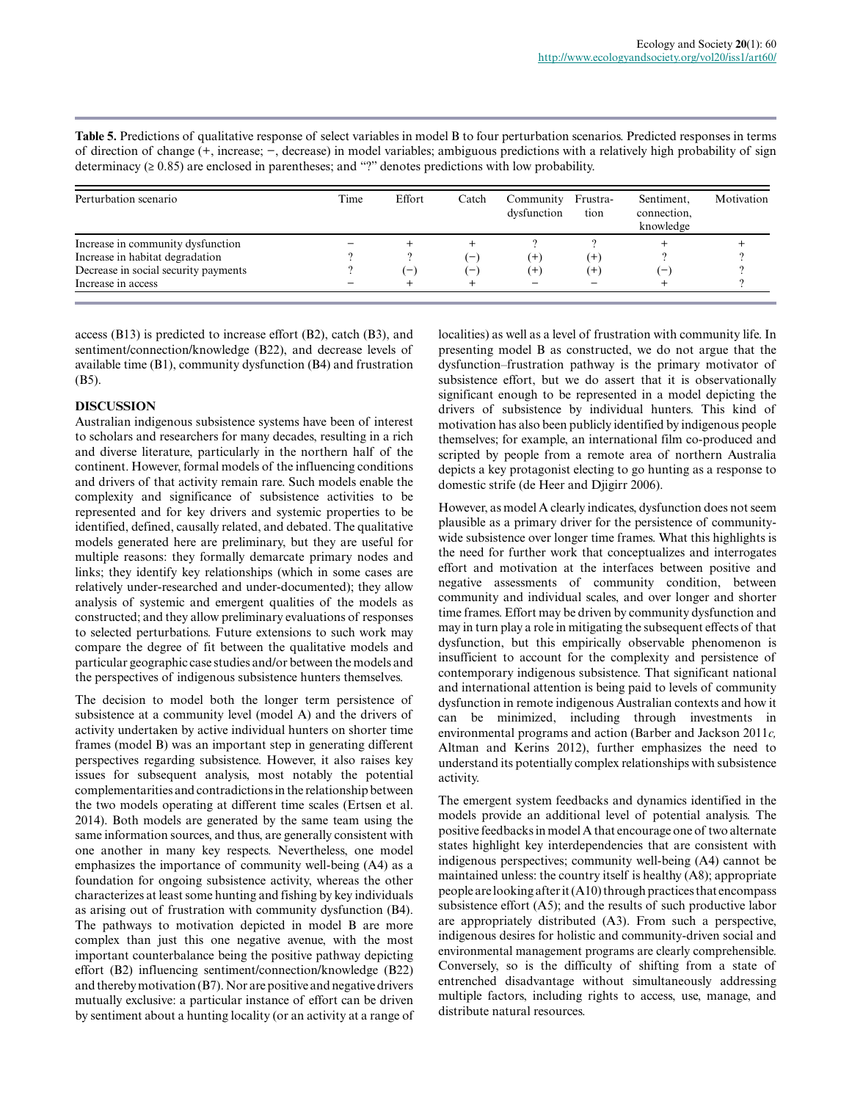**Table 5.** Predictions of qualitative response of select variables in model B to four perturbation scenarios. Predicted responses in terms of direction of change (+, increase; −, decrease) in model variables; ambiguous predictions with a relatively high probability of sign determinacy (≥ 0.85) are enclosed in parentheses; and "?" denotes predictions with low probability.

| Perturbation scenario                | Time | Effort                       | Catch             | Community<br>dysfunction | Frustra-<br>tion | Sentiment,<br>connection,<br>knowledge | Motivation |
|--------------------------------------|------|------------------------------|-------------------|--------------------------|------------------|----------------------------------------|------------|
| Increase in community dysfunction    |      |                              |                   |                          |                  |                                        |            |
| Increase in habitat degradation      |      |                              | $\qquad \qquad -$ | $^{+}$                   | $(+)$            |                                        |            |
| Decrease in social security payments |      | $\qquad \qquad \blacksquare$ | -                 | $^{+}$                   | $(+)$            |                                        |            |
| Increase in access                   |      |                              |                   |                          |                  |                                        |            |

access (B13) is predicted to increase effort (B2), catch (B3), and sentiment/connection/knowledge (B22), and decrease levels of available time (B1), community dysfunction (B4) and frustration (B5).

## **DISCUSSION**

Australian indigenous subsistence systems have been of interest to scholars and researchers for many decades, resulting in a rich and diverse literature, particularly in the northern half of the continent. However, formal models of the influencing conditions and drivers of that activity remain rare. Such models enable the complexity and significance of subsistence activities to be represented and for key drivers and systemic properties to be identified, defined, causally related, and debated. The qualitative models generated here are preliminary, but they are useful for multiple reasons: they formally demarcate primary nodes and links; they identify key relationships (which in some cases are relatively under-researched and under-documented); they allow analysis of systemic and emergent qualities of the models as constructed; and they allow preliminary evaluations of responses to selected perturbations. Future extensions to such work may compare the degree of fit between the qualitative models and particular geographic case studies and/or between the models and the perspectives of indigenous subsistence hunters themselves.

The decision to model both the longer term persistence of subsistence at a community level (model A) and the drivers of activity undertaken by active individual hunters on shorter time frames (model B) was an important step in generating different perspectives regarding subsistence. However, it also raises key issues for subsequent analysis, most notably the potential complementarities and contradictions in the relationship between the two models operating at different time scales (Ertsen et al. 2014). Both models are generated by the same team using the same information sources, and thus, are generally consistent with one another in many key respects. Nevertheless, one model emphasizes the importance of community well-being (A4) as a foundation for ongoing subsistence activity, whereas the other characterizes at least some hunting and fishing by key individuals as arising out of frustration with community dysfunction (B4). The pathways to motivation depicted in model B are more complex than just this one negative avenue, with the most important counterbalance being the positive pathway depicting effort (B2) influencing sentiment/connection/knowledge (B22) and thereby motivation (B7). Nor are positive and negative drivers mutually exclusive: a particular instance of effort can be driven by sentiment about a hunting locality (or an activity at a range of

localities) as well as a level of frustration with community life. In presenting model B as constructed, we do not argue that the dysfunction–frustration pathway is the primary motivator of subsistence effort, but we do assert that it is observationally significant enough to be represented in a model depicting the drivers of subsistence by individual hunters. This kind of motivation has also been publicly identified by indigenous people themselves; for example, an international film co-produced and scripted by people from a remote area of northern Australia depicts a key protagonist electing to go hunting as a response to domestic strife (de Heer and Djigirr 2006).

However, as model A clearly indicates, dysfunction does not seem plausible as a primary driver for the persistence of communitywide subsistence over longer time frames. What this highlights is the need for further work that conceptualizes and interrogates effort and motivation at the interfaces between positive and negative assessments of community condition, between community and individual scales, and over longer and shorter time frames. Effort may be driven by community dysfunction and may in turn play a role in mitigating the subsequent effects of that dysfunction, but this empirically observable phenomenon is insufficient to account for the complexity and persistence of contemporary indigenous subsistence. That significant national and international attention is being paid to levels of community dysfunction in remote indigenous Australian contexts and how it can be minimized, including through investments in environmental programs and action (Barber and Jackson 2011*c,* Altman and Kerins 2012), further emphasizes the need to understand its potentially complex relationships with subsistence activity.

The emergent system feedbacks and dynamics identified in the models provide an additional level of potential analysis. The positive feedbacks in model A that encourage one of two alternate states highlight key interdependencies that are consistent with indigenous perspectives; community well-being (A4) cannot be maintained unless: the country itself is healthy (A8); appropriate people are looking after it (A10) through practices that encompass subsistence effort (A5); and the results of such productive labor are appropriately distributed (A3). From such a perspective, indigenous desires for holistic and community-driven social and environmental management programs are clearly comprehensible. Conversely, so is the difficulty of shifting from a state of entrenched disadvantage without simultaneously addressing multiple factors, including rights to access, use, manage, and distribute natural resources.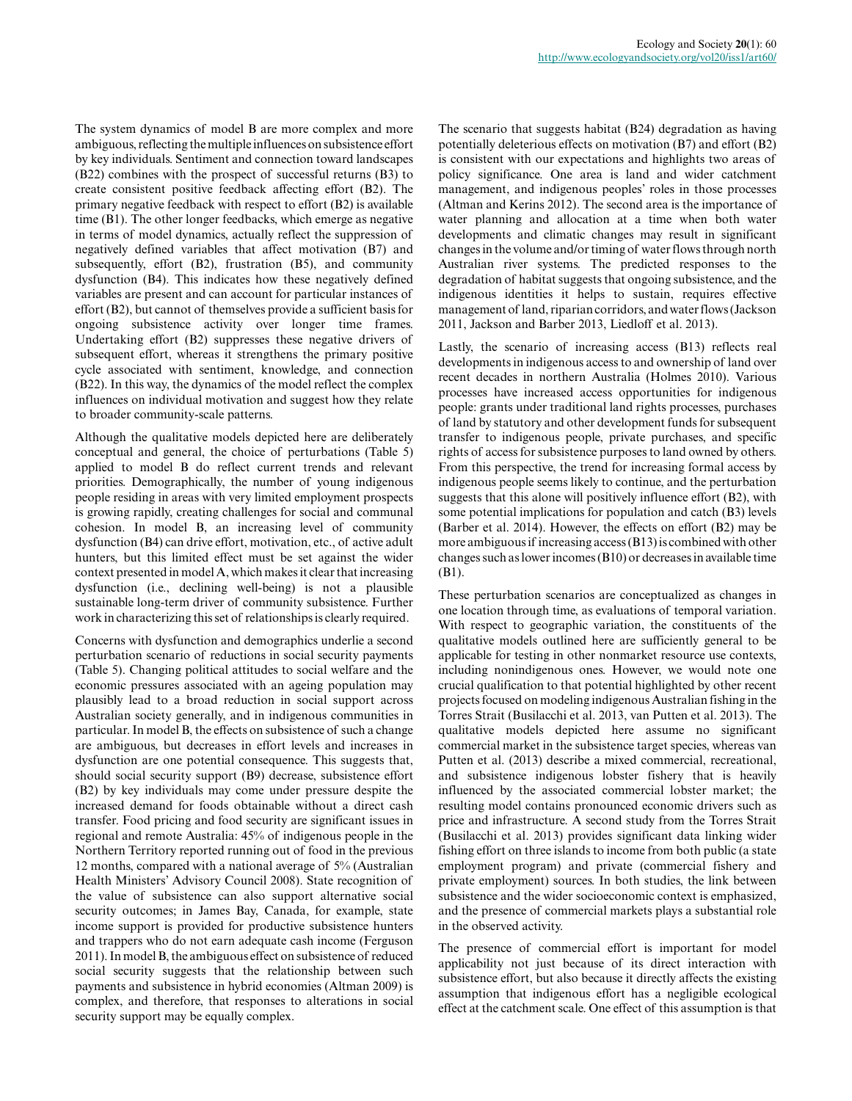The system dynamics of model B are more complex and more ambiguous, reflecting the multiple influences on subsistence effort by key individuals. Sentiment and connection toward landscapes (B22) combines with the prospect of successful returns (B3) to create consistent positive feedback affecting effort (B2). The primary negative feedback with respect to effort (B2) is available time (B1). The other longer feedbacks, which emerge as negative in terms of model dynamics, actually reflect the suppression of negatively defined variables that affect motivation (B7) and subsequently, effort (B2), frustration (B5), and community dysfunction (B4). This indicates how these negatively defined variables are present and can account for particular instances of effort (B2), but cannot of themselves provide a sufficient basis for ongoing subsistence activity over longer time frames. Undertaking effort (B2) suppresses these negative drivers of subsequent effort, whereas it strengthens the primary positive cycle associated with sentiment, knowledge, and connection (B22). In this way, the dynamics of the model reflect the complex influences on individual motivation and suggest how they relate to broader community-scale patterns.

Although the qualitative models depicted here are deliberately conceptual and general, the choice of perturbations (Table 5) applied to model B do reflect current trends and relevant priorities. Demographically, the number of young indigenous people residing in areas with very limited employment prospects is growing rapidly, creating challenges for social and communal cohesion. In model B, an increasing level of community dysfunction (B4) can drive effort, motivation, etc., of active adult hunters, but this limited effect must be set against the wider context presented in model A, which makes it clear that increasing dysfunction (i.e., declining well-being) is not a plausible sustainable long-term driver of community subsistence. Further work in characterizing this set of relationships is clearly required.

Concerns with dysfunction and demographics underlie a second perturbation scenario of reductions in social security payments (Table 5). Changing political attitudes to social welfare and the economic pressures associated with an ageing population may plausibly lead to a broad reduction in social support across Australian society generally, and in indigenous communities in particular. In model B, the effects on subsistence of such a change are ambiguous, but decreases in effort levels and increases in dysfunction are one potential consequence. This suggests that, should social security support (B9) decrease, subsistence effort (B2) by key individuals may come under pressure despite the increased demand for foods obtainable without a direct cash transfer. Food pricing and food security are significant issues in regional and remote Australia: 45% of indigenous people in the Northern Territory reported running out of food in the previous 12 months, compared with a national average of 5% (Australian Health Ministers' Advisory Council 2008). State recognition of the value of subsistence can also support alternative social security outcomes; in James Bay, Canada, for example, state income support is provided for productive subsistence hunters and trappers who do not earn adequate cash income (Ferguson 2011). In model B, the ambiguous effect on subsistence of reduced social security suggests that the relationship between such payments and subsistence in hybrid economies (Altman 2009) is complex, and therefore, that responses to alterations in social security support may be equally complex.

The scenario that suggests habitat (B24) degradation as having potentially deleterious effects on motivation (B7) and effort (B2) is consistent with our expectations and highlights two areas of policy significance. One area is land and wider catchment management, and indigenous peoples' roles in those processes (Altman and Kerins 2012). The second area is the importance of water planning and allocation at a time when both water developments and climatic changes may result in significant changes in the volume and/or timing of water flows through north Australian river systems. The predicted responses to the degradation of habitat suggests that ongoing subsistence, and the indigenous identities it helps to sustain, requires effective management of land, riparian corridors, and water flows (Jackson 2011, Jackson and Barber 2013, Liedloff et al. 2013).

Lastly, the scenario of increasing access (B13) reflects real developments in indigenous access to and ownership of land over recent decades in northern Australia (Holmes 2010). Various processes have increased access opportunities for indigenous people: grants under traditional land rights processes, purchases of land by statutory and other development funds for subsequent transfer to indigenous people, private purchases, and specific rights of access for subsistence purposes to land owned by others. From this perspective, the trend for increasing formal access by indigenous people seems likely to continue, and the perturbation suggests that this alone will positively influence effort (B2), with some potential implications for population and catch (B3) levels (Barber et al. 2014). However, the effects on effort (B2) may be more ambiguous if increasing access (B13) is combined with other changes such as lower incomes (B10) or decreases in available time (B1).

These perturbation scenarios are conceptualized as changes in one location through time, as evaluations of temporal variation. With respect to geographic variation, the constituents of the qualitative models outlined here are sufficiently general to be applicable for testing in other nonmarket resource use contexts, including nonindigenous ones. However, we would note one crucial qualification to that potential highlighted by other recent projects focused on modeling indigenous Australian fishing in the Torres Strait (Busilacchi et al. 2013, van Putten et al. 2013). The qualitative models depicted here assume no significant commercial market in the subsistence target species, whereas van Putten et al. (2013) describe a mixed commercial, recreational, and subsistence indigenous lobster fishery that is heavily influenced by the associated commercial lobster market; the resulting model contains pronounced economic drivers such as price and infrastructure. A second study from the Torres Strait (Busilacchi et al. 2013) provides significant data linking wider fishing effort on three islands to income from both public (a state employment program) and private (commercial fishery and private employment) sources. In both studies, the link between subsistence and the wider socioeconomic context is emphasized, and the presence of commercial markets plays a substantial role in the observed activity.

The presence of commercial effort is important for model applicability not just because of its direct interaction with subsistence effort, but also because it directly affects the existing assumption that indigenous effort has a negligible ecological effect at the catchment scale. One effect of this assumption is that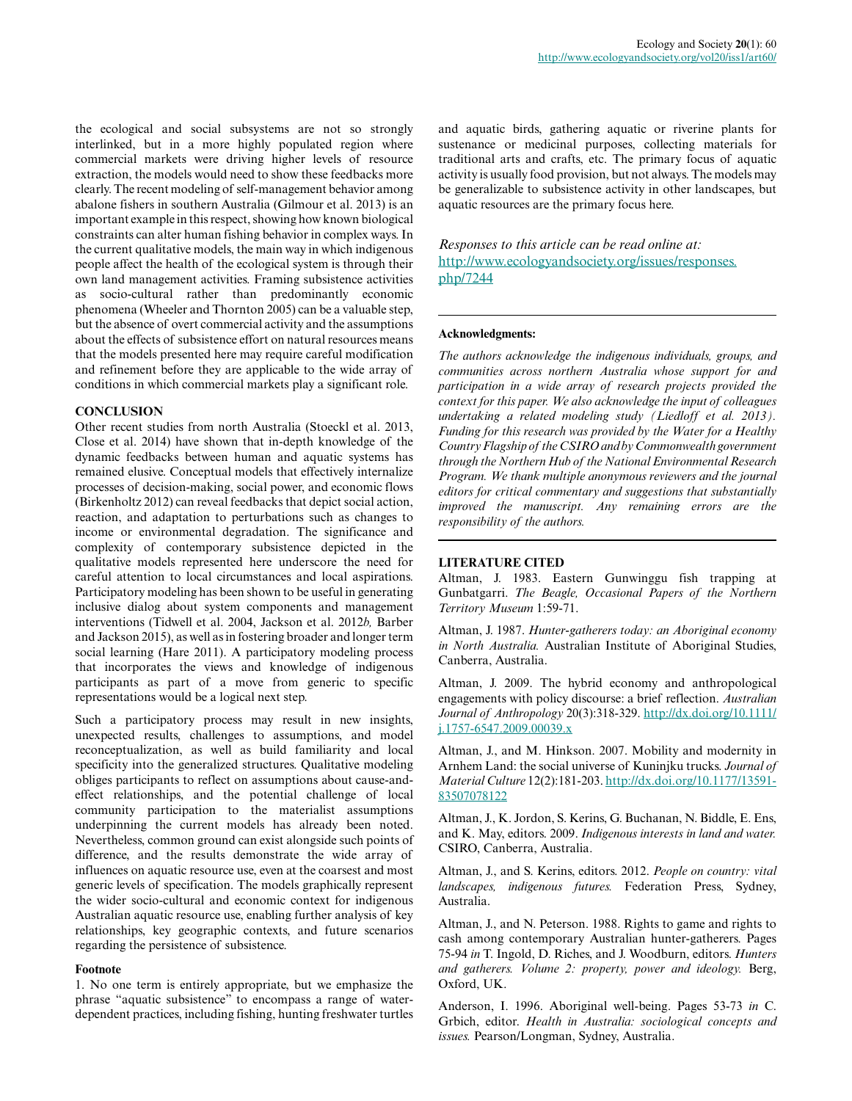the ecological and social subsystems are not so strongly interlinked, but in a more highly populated region where commercial markets were driving higher levels of resource extraction, the models would need to show these feedbacks more clearly. The recent modeling of self-management behavior among abalone fishers in southern Australia (Gilmour et al. 2013) is an important example in this respect, showing how known biological constraints can alter human fishing behavior in complex ways. In the current qualitative models, the main way in which indigenous people affect the health of the ecological system is through their own land management activities. Framing subsistence activities as socio-cultural rather than predominantly economic phenomena (Wheeler and Thornton 2005) can be a valuable step, but the absence of overt commercial activity and the assumptions about the effects of subsistence effort on natural resources means that the models presented here may require careful modification and refinement before they are applicable to the wide array of conditions in which commercial markets play a significant role.

## **CONCLUSION**

Other recent studies from north Australia (Stoeckl et al. 2013, Close et al. 2014) have shown that in-depth knowledge of the dynamic feedbacks between human and aquatic systems has remained elusive. Conceptual models that effectively internalize processes of decision-making, social power, and economic flows (Birkenholtz 2012) can reveal feedbacks that depict social action, reaction, and adaptation to perturbations such as changes to income or environmental degradation. The significance and complexity of contemporary subsistence depicted in the qualitative models represented here underscore the need for careful attention to local circumstances and local aspirations. Participatory modeling has been shown to be useful in generating inclusive dialog about system components and management interventions (Tidwell et al. 2004, Jackson et al. 2012*b,* Barber and Jackson 2015), as well as in fostering broader and longer term social learning (Hare 2011). A participatory modeling process that incorporates the views and knowledge of indigenous participants as part of a move from generic to specific representations would be a logical next step.

Such a participatory process may result in new insights, unexpected results, challenges to assumptions, and model reconceptualization, as well as build familiarity and local specificity into the generalized structures. Qualitative modeling obliges participants to reflect on assumptions about cause-andeffect relationships, and the potential challenge of local community participation to the materialist assumptions underpinning the current models has already been noted. Nevertheless, common ground can exist alongside such points of difference, and the results demonstrate the wide array of influences on aquatic resource use, even at the coarsest and most generic levels of specification. The models graphically represent the wider socio-cultural and economic context for indigenous Australian aquatic resource use, enabling further analysis of key relationships, key geographic contexts, and future scenarios regarding the persistence of subsistence.

#### **Footnote**

1. No one term is entirely appropriate, but we emphasize the phrase "aquatic subsistence" to encompass a range of waterdependent practices, including fishing, hunting freshwater turtles and aquatic birds, gathering aquatic or riverine plants for sustenance or medicinal purposes, collecting materials for traditional arts and crafts, etc. The primary focus of aquatic activity is usually food provision, but not always. The models may be generalizable to subsistence activity in other landscapes, but aquatic resources are the primary focus here.

# *Responses to this article can be read online at:* [http://www.ecologyandsociety.org/issues/responses.](http://www.ecologyandsociety.org/issues/responses.php/7244) [php/7244](http://www.ecologyandsociety.org/issues/responses.php/7244)

#### **Acknowledgments:**

*The authors acknowledge the indigenous individuals, groups, and communities across northern Australia whose support for and participation in a wide array of research projects provided the context for this paper. We also acknowledge the input of colleagues undertaking a related modeling study (Liedloff et al. 2013). Funding for this research was provided by the Water for a Healthy Country Flagship of the CSIRO and by Commonwealth government through the Northern Hub of the National Environmental Research Program. We thank multiple anonymous reviewers and the journal editors for critical commentary and suggestions that substantially improved the manuscript. Any remaining errors are the responsibility of the authors.*

#### **LITERATURE CITED**

Altman, J. 1983. Eastern Gunwinggu fish trapping at Gunbatgarri. *The Beagle, Occasional Papers of the Northern Territory Museum* 1:59-71.

Altman, J. 1987. *Hunter-gatherers today: an Aboriginal economy in North Australia.* Australian Institute of Aboriginal Studies, Canberra, Australia.

Altman, J. 2009. The hybrid economy and anthropological engagements with policy discourse: a brief reflection. *Australian Journal of Anthropology* 20(3):318-329. [http://dx.doi.org/10.1111/](http://dx.doi.org/10.1111/j.1757-6547.2009.00039.x) [j.1757-6547.2009.00039.x](http://dx.doi.org/10.1111/j.1757-6547.2009.00039.x)

Altman, J., and M. Hinkson. 2007. Mobility and modernity in Arnhem Land: the social universe of Kuninjku trucks. *Journal of Material Culture* 12(2):181-203. [http://dx.doi.org/10.1177/13591](http://dx.doi.org/10.1177/1359183507078122) [83507078122](http://dx.doi.org/10.1177/1359183507078122)

Altman, J., K. Jordon, S. Kerins, G. Buchanan, N. Biddle, E. Ens, and K. May, editors. 2009. *Indigenous interests in land and water.* CSIRO, Canberra, Australia.

Altman, J., and S. Kerins, editors. 2012. *People on country: vital landscapes, indigenous futures.* Federation Press, Sydney, Australia.

Altman, J., and N. Peterson. 1988. Rights to game and rights to cash among contemporary Australian hunter-gatherers. Pages 75-94 *in* T. Ingold, D. Riches, and J. Woodburn, editors. *Hunters and gatherers. Volume 2: property, power and ideology.* Berg, Oxford, UK.

Anderson, I. 1996. Aboriginal well-being. Pages 53-73 *in* C. Grbich, editor. *Health in Australia: sociological concepts and issues.* Pearson/Longman, Sydney, Australia.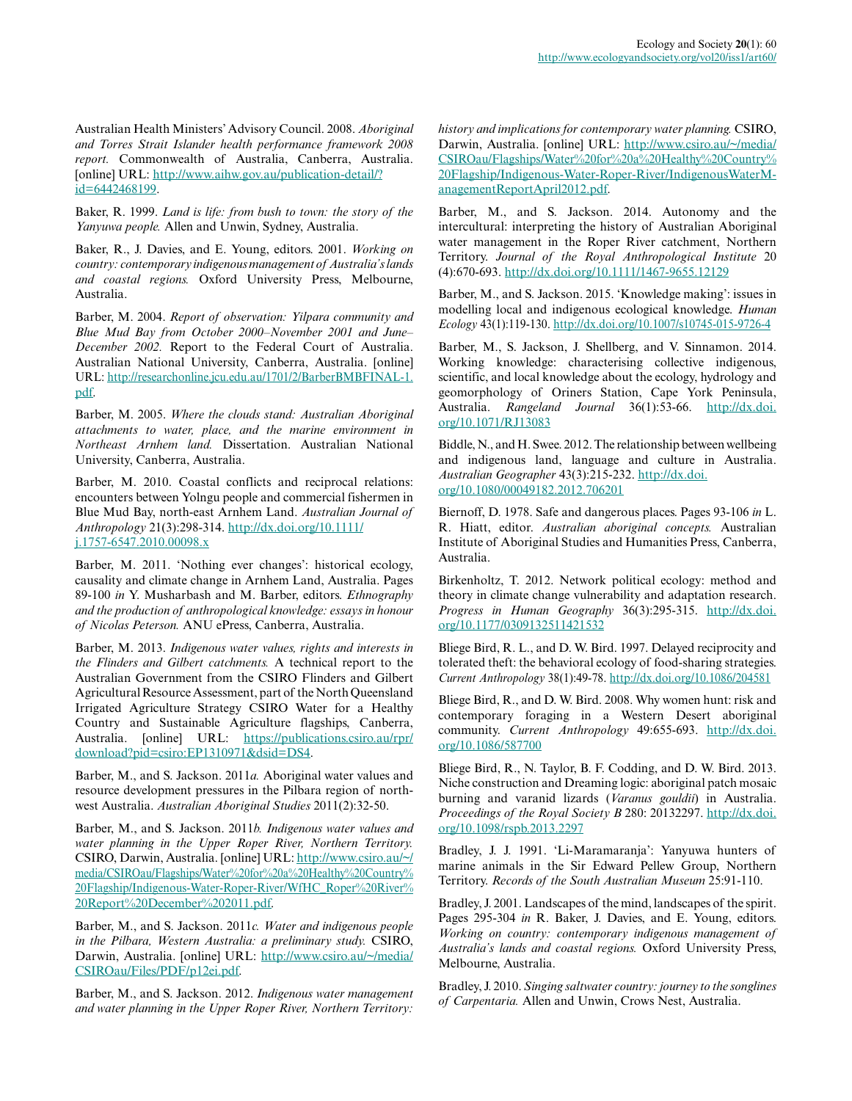Australian Health Ministers' Advisory Council. 2008. *Aboriginal and Torres Strait Islander health performance framework 2008 report.* Commonwealth of Australia, Canberra, Australia. [online] URL: [http://www.aihw.gov.au/publication-detail/?](http://www.aihw.gov.au/publication-detail/?id=6442468199) [id=6442468199](http://www.aihw.gov.au/publication-detail/?id=6442468199).

Baker, R. 1999. *Land is life: from bush to town: the story of the Yanyuwa people.* Allen and Unwin, Sydney, Australia.

Baker, R., J. Davies, and E. Young, editors. 2001. *Working on country: contemporary indigenous management of Australia's lands and coastal regions.* Oxford University Press, Melbourne, Australia.

Barber, M. 2004. *Report of observation: Yilpara community and Blue Mud Bay from October 2000–November 2001 and June– December 2002.* Report to the Federal Court of Australia. Australian National University, Canberra, Australia. [online] URL: [http://researchonline.jcu.edu.au/1701/2/BarberBMBFINAL-1.](http://researchonline.jcu.edu.au/1701/2/BarberBMBFINAL-1.pdf) [pdf.](http://researchonline.jcu.edu.au/1701/2/BarberBMBFINAL-1.pdf)

Barber, M. 2005. *Where the clouds stand: Australian Aboriginal attachments to water, place, and the marine environment in Northeast Arnhem land.* Dissertation. Australian National University, Canberra, Australia.

Barber, M. 2010. Coastal conflicts and reciprocal relations: encounters between Yolngu people and commercial fishermen in Blue Mud Bay, north-east Arnhem Land. *Australian Journal of Anthropology* 21(3):298-314. [http://dx.doi.org/10.1111/](http://dx.doi.org/10.1111/j.1757-6547.2010.00098.x) [j.1757-6547.2010.00098.x](http://dx.doi.org/10.1111/j.1757-6547.2010.00098.x)

Barber, M. 2011. 'Nothing ever changes': historical ecology, causality and climate change in Arnhem Land, Australia. Pages 89-100 *in* Y. Musharbash and M. Barber, editors. *Ethnography and the production of anthropological knowledge: essays in honour of Nicolas Peterson.* ANU ePress, Canberra, Australia.

Barber, M. 2013. *Indigenous water values, rights and interests in the Flinders and Gilbert catchments.* A technical report to the Australian Government from the CSIRO Flinders and Gilbert Agricultural Resource Assessment, part of the North Queensland Irrigated Agriculture Strategy CSIRO Water for a Healthy Country and Sustainable Agriculture flagships, Canberra, Australia. [online] URL: [https://publications.csiro.au/rpr/](https://publications.csiro.au/rpr/download?pid=csiro:EP1310971&dsid=DS4) [download?pid=csiro:EP1310971&dsid=DS4.](https://publications.csiro.au/rpr/download?pid=csiro:EP1310971&dsid=DS4)

Barber, M., and S. Jackson. 2011*a.* Aboriginal water values and resource development pressures in the Pilbara region of northwest Australia. *Australian Aboriginal Studies* 2011(2):32-50.

Barber, M., and S. Jackson. 2011*b. Indigenous water values and water planning in the Upper Roper River, Northern Territory.* CSIRO, Darwin, Australia. [online] URL: [http://www.csiro.au/~/](http://www.csiro.au/~/media/CSIROau/Flagships/Water%20for%20a%20Healthy%20Country%20Flagship/Indigenous-Water-Roper-River/WfHC_Roper%20River%20Report%20December%202011.pdf) [media/CSIROau/Flagships/Water%20for%20a%20Healthy%20Country%](http://www.csiro.au/~/media/CSIROau/Flagships/Water%20for%20a%20Healthy%20Country%20Flagship/Indigenous-Water-Roper-River/WfHC_Roper%20River%20Report%20December%202011.pdf) [20Flagship/Indigenous-Water-Roper-River/WfHC\\_Roper%20River%](http://www.csiro.au/~/media/CSIROau/Flagships/Water%20for%20a%20Healthy%20Country%20Flagship/Indigenous-Water-Roper-River/WfHC_Roper%20River%20Report%20December%202011.pdf) [20Report%20December%202011.pdf.](http://www.csiro.au/~/media/CSIROau/Flagships/Water%20for%20a%20Healthy%20Country%20Flagship/Indigenous-Water-Roper-River/WfHC_Roper%20River%20Report%20December%202011.pdf)

Barber, M., and S. Jackson. 2011*c. Water and indigenous people in the Pilbara, Western Australia: a preliminary study.* CSIRO, Darwin, Australia. [online] URL: [http://www.csiro.au/~/media/](http://www.csiro.au/~/media/CSIROau/Files/PDF/p12ei.pdf) [CSIROau/Files/PDF/p12ei.pdf.](http://www.csiro.au/~/media/CSIROau/Files/PDF/p12ei.pdf)

Barber, M., and S. Jackson. 2012. *Indigenous water management and water planning in the Upper Roper River, Northern Territory:* *history and implications for contemporary water planning.* CSIRO, Darwin, Australia. [online] URL: [http://www.csiro.au/~/media/](http://www.csiro.au/~/media/CSIROau/Flagships/Water%20for%20a%20Healthy%20Country%20Flagship/Indigenous-Water-Roper-River/IndigenousWaterManagementReportApril2012.pdf) [CSIROau/Flagships/Water%20for%20a%20Healthy%20Country%](http://www.csiro.au/~/media/CSIROau/Flagships/Water%20for%20a%20Healthy%20Country%20Flagship/Indigenous-Water-Roper-River/IndigenousWaterManagementReportApril2012.pdf) [20Flagship/Indigenous-Water-Roper-River/IndigenousWaterM](http://www.csiro.au/~/media/CSIROau/Flagships/Water%20for%20a%20Healthy%20Country%20Flagship/Indigenous-Water-Roper-River/IndigenousWaterManagementReportApril2012.pdf)[anagementReportApril2012.pdf.](http://www.csiro.au/~/media/CSIROau/Flagships/Water%20for%20a%20Healthy%20Country%20Flagship/Indigenous-Water-Roper-River/IndigenousWaterManagementReportApril2012.pdf)

Barber, M., and S. Jackson. 2014. Autonomy and the intercultural: interpreting the history of Australian Aboriginal water management in the Roper River catchment, Northern Territory. *Journal of the Royal Anthropological Institute* 20 (4):670-693. <http://dx.doi.org/10.1111/1467-9655.12129>

Barber, M., and S. Jackson. 2015. 'Knowledge making': issues in modelling local and indigenous ecological knowledge. *Human Ecology* 43(1):119-130. <http://dx.doi.org/10.1007/s10745-015-9726-4>

Barber, M., S. Jackson, J. Shellberg, and V. Sinnamon. 2014. Working knowledge: characterising collective indigenous, scientific, and local knowledge about the ecology, hydrology and geomorphology of Oriners Station, Cape York Peninsula, Australia. *Rangeland Journal* 36(1):53-66. [http://dx.doi.](http://dx.doi.org/10.1071/RJ13083) [org/10.1071/RJ13083](http://dx.doi.org/10.1071/RJ13083) 

Biddle, N., and H. Swee. 2012. The relationship between wellbeing and indigenous land, language and culture in Australia. *Australian Geographer* 43(3):215-232. [http://dx.doi.](http://dx.doi.org/10.1080/00049182.2012.706201) [org/10.1080/00049182.2012.706201](http://dx.doi.org/10.1080/00049182.2012.706201)

Biernoff, D. 1978. Safe and dangerous places. Pages 93-106 *in* L. R. Hiatt, editor. *Australian aboriginal concepts.* Australian Institute of Aboriginal Studies and Humanities Press, Canberra, Australia.

Birkenholtz, T. 2012. Network political ecology: method and theory in climate change vulnerability and adaptation research. *Progress in Human Geography* 36(3):295-315. [http://dx.doi.](http://dx.doi.org/10.1177/0309132511421532) [org/10.1177/0309132511421532](http://dx.doi.org/10.1177/0309132511421532)

Bliege Bird, R. L., and D. W. Bird. 1997. Delayed reciprocity and tolerated theft: the behavioral ecology of food-sharing strategies. *Current Anthropology* 38(1):49-78.<http://dx.doi.org/10.1086/204581>

Bliege Bird, R., and D. W. Bird. 2008. Why women hunt: risk and contemporary foraging in a Western Desert aboriginal community. *Current Anthropology* 49:655-693. [http://dx.doi.](http://dx.doi.org/10.1086/587700) [org/10.1086/587700](http://dx.doi.org/10.1086/587700)

Bliege Bird, R., N. Taylor, B. F. Codding, and D. W. Bird. 2013. Niche construction and Dreaming logic: aboriginal patch mosaic burning and varanid lizards (*Varanus gouldii*) in Australia. *Proceedings of the Royal Society B* 280: 20132297. [http://dx.doi.](http://dx.doi.org/10.1098/rspb.2013.2297) [org/10.1098/rspb.2013.2297](http://dx.doi.org/10.1098/rspb.2013.2297)

Bradley, J. J. 1991. 'Li-Maramaranja': Yanyuwa hunters of marine animals in the Sir Edward Pellew Group, Northern Territory. *Records of the South Australian Museum* 25:91-110.

Bradley, J. 2001. Landscapes of the mind, landscapes of the spirit. Pages 295-304 *in* R. Baker, J. Davies, and E. Young, editors. *Working on country: contemporary indigenous management of Australia's lands and coastal regions.* Oxford University Press, Melbourne, Australia.

Bradley, J. 2010. *Singing saltwater country: journey to the songlines of Carpentaria.* Allen and Unwin, Crows Nest, Australia.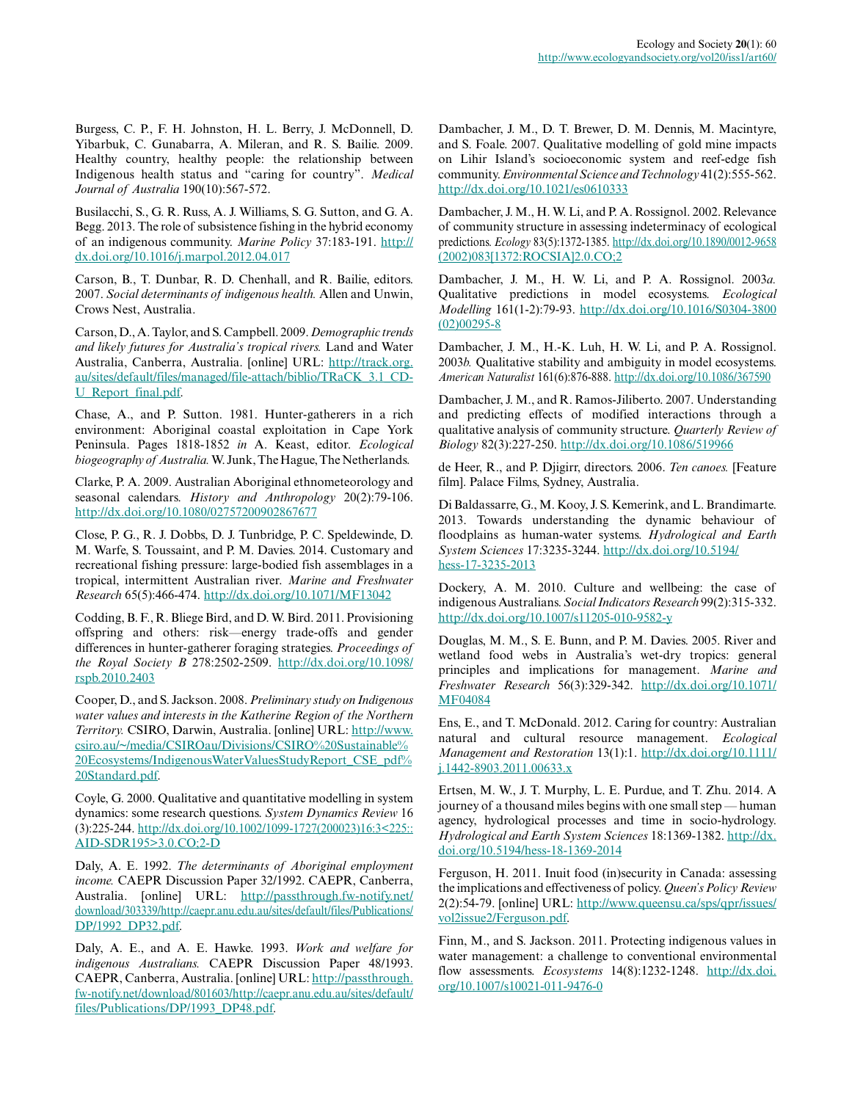Burgess, C. P., F. H. Johnston, H. L. Berry, J. McDonnell, D. Yibarbuk, C. Gunabarra, A. Mileran, and R. S. Bailie. 2009. Healthy country, healthy people: the relationship between Indigenous health status and "caring for country". *Medical Journal of Australia* 190(10):567-572.

Busilacchi, S., G. R. Russ, A. J. Williams, S. G. Sutton, and G. A. Begg. 2013. The role of subsistence fishing in the hybrid economy of an indigenous community. *Marine Policy* 37:183-191. [http://](http://dx.doi.org/10.1016/j.marpol.2012.04.017) [dx.doi.org/10.1016/j.marpol.2012.04.017](http://dx.doi.org/10.1016/j.marpol.2012.04.017)

Carson, B., T. Dunbar, R. D. Chenhall, and R. Bailie, editors. 2007. *Social determinants of indigenous health.* Allen and Unwin, Crows Nest, Australia.

Carson, D., A. Taylor, and S. Campbell. 2009. *Demographic trends and likely futures for Australia's tropical rivers.* Land and Water Australia, Canberra, Australia. [online] URL: [http://track.org.](http://track.org.au/sites/default/files/managed/file-attach/biblio/TRaCK_3.1_CDU_Report_final.pdf) [au/sites/default/files/managed/file-attach/biblio/TRaCK\\_3.1\\_CD-](http://track.org.au/sites/default/files/managed/file-attach/biblio/TRaCK_3.1_CDU_Report_final.pdf)U Report final.pdf.

Chase, A., and P. Sutton. 1981. Hunter-gatherers in a rich environment: Aboriginal coastal exploitation in Cape York Peninsula. Pages 1818-1852 *in* A. Keast, editor. *Ecological biogeography of Australia.* W. Junk, The Hague, The Netherlands.

Clarke, P. A. 2009. Australian Aboriginal ethnometeorology and seasonal calendars. *History and Anthropology* 20(2):79-106. <http://dx.doi.org/10.1080/02757200902867677>

Close, P. G., R. J. Dobbs, D. J. Tunbridge, P. C. Speldewinde, D. M. Warfe, S. Toussaint, and P. M. Davies. 2014. Customary and recreational fishing pressure: large-bodied fish assemblages in a tropical, intermittent Australian river. *Marine and Freshwater Research* 65(5):466-474.<http://dx.doi.org/10.1071/MF13042>

Codding, B. F., R. Bliege Bird, and D. W. Bird. 2011. Provisioning offspring and others: risk—energy trade-offs and gender differences in hunter-gatherer foraging strategies. *Proceedings of the Royal Society B* 278:2502-2509. [http://dx.doi.org/10.1098/](http://dx.doi.org/10.1098/rspb.2010.2403) [rspb.2010.2403](http://dx.doi.org/10.1098/rspb.2010.2403)

Cooper, D., and S. Jackson. 2008. *Preliminary study on Indigenous water values and interests in the Katherine Region of the Northern Territory.* CSIRO, Darwin, Australia. [online] URL: [http://www.](http://www.csiro.au/~/media/CSIROau/Divisions/CSIRO%20Sustainable%20Ecosystems/IndigenousWaterValuesStudyReport_CSE_pdf%20Standard.pdf) [csiro.au/~/media/CSIROau/Divisions/CSIRO%20Sustainable%](http://www.csiro.au/~/media/CSIROau/Divisions/CSIRO%20Sustainable%20Ecosystems/IndigenousWaterValuesStudyReport_CSE_pdf%20Standard.pdf) [20Ecosystems/IndigenousWaterValuesStudyReport\\_CSE\\_pdf%](http://www.csiro.au/~/media/CSIROau/Divisions/CSIRO%20Sustainable%20Ecosystems/IndigenousWaterValuesStudyReport_CSE_pdf%20Standard.pdf) [20Standard.pdf.](http://www.csiro.au/~/media/CSIROau/Divisions/CSIRO%20Sustainable%20Ecosystems/IndigenousWaterValuesStudyReport_CSE_pdf%20Standard.pdf)

Coyle, G. 2000. Qualitative and quantitative modelling in system dynamics: some research questions. *System Dynamics Review* 16 (3):225-244. [http://dx.doi.org/10.1002/1099-1727\(200023\)16:3<225::](http://dx.doi.org/10.1002/1099-1727%28200023%2916%3A3%3C225%3A%3AAID-SDR195%3E3.0.CO%3B2-D) [AID-SDR195>3.0.CO;2-D](http://dx.doi.org/10.1002/1099-1727%28200023%2916%3A3%3C225%3A%3AAID-SDR195%3E3.0.CO%3B2-D)

Daly, A. E. 1992. *The determinants of Aboriginal employment income.* CAEPR Discussion Paper 32/1992. CAEPR, Canberra, Australia. [online] URL: [http://passthrough.fw-notify.net/](http://passthrough.fw-notify.net/download/303339/http://caepr.anu.edu.au/sites/default/files/Publications/DP/1992_DP32.pdf) [download/303339/http://caepr.anu.edu.au/sites/default/files/Publications/](http://passthrough.fw-notify.net/download/303339/http://caepr.anu.edu.au/sites/default/files/Publications/DP/1992_DP32.pdf) [DP/1992\\_DP32.pdf.](http://passthrough.fw-notify.net/download/303339/http://caepr.anu.edu.au/sites/default/files/Publications/DP/1992_DP32.pdf)

Daly, A. E., and A. E. Hawke. 1993. *Work and welfare for indigenous Australians.* CAEPR Discussion Paper 48/1993. CAEPR, Canberra, Australia. [online] URL: [http://passthrough.](http://passthrough.fw-notify.net/download/801603/http://caepr.anu.edu.au/sites/default/files/Publications/DP/1993_DP48.pdf) [fw-notify.net/download/801603/http://caepr.anu.edu.au/sites/default/](http://passthrough.fw-notify.net/download/801603/http://caepr.anu.edu.au/sites/default/files/Publications/DP/1993_DP48.pdf) [files/Publications/DP/1993\\_DP48.pdf.](http://passthrough.fw-notify.net/download/801603/http://caepr.anu.edu.au/sites/default/files/Publications/DP/1993_DP48.pdf)

Dambacher, J. M., D. T. Brewer, D. M. Dennis, M. Macintyre, and S. Foale. 2007. Qualitative modelling of gold mine impacts on Lihir Island's socioeconomic system and reef-edge fish community. *Environmental Science and Technology* 41(2):555-562. <http://dx.doi.org/10.1021/es0610333>

Dambacher, J. M., H. W. Li, and P. A. Rossignol. 2002. Relevance of community structure in assessing indeterminacy of ecological predictions. *Ecology* 83(5):1372-1385. [http://dx.doi.org/10.1890/0012-9658](http://dx.doi.org/10.1890/0012-9658%282002%29083%5B1372%3AROCSIA%5D2.0.CO%3B2) [\(2002\)083\[1372:ROCSIA\]2.0.CO;2](http://dx.doi.org/10.1890/0012-9658%282002%29083%5B1372%3AROCSIA%5D2.0.CO%3B2)

Dambacher, J. M., H. W. Li, and P. A. Rossignol. 2003*a.* Qualitative predictions in model ecosystems. *Ecological Modelling* 161(1-2):79-93. [http://dx.doi.org/10.1016/S0304-3800](http://dx.doi.org/10.1016/S0304-3800(02)00295-8) [\(02\)00295-8](http://dx.doi.org/10.1016/S0304-3800(02)00295-8) 

Dambacher, J. M., H.-K. Luh, H. W. Li, and P. A. Rossignol. 2003*b.* Qualitative stability and ambiguity in model ecosystems. *American Naturalist* 161(6):876-888.<http://dx.doi.org/10.1086/367590>

Dambacher, J. M., and R. Ramos-Jiliberto. 2007. Understanding and predicting effects of modified interactions through a qualitative analysis of community structure. *Quarterly Review of Biology* 82(3):227-250. <http://dx.doi.org/10.1086/519966>

de Heer, R., and P. Djigirr, directors. 2006. *Ten canoes.* [Feature film]. Palace Films, Sydney, Australia.

Di Baldassarre, G., M. Kooy, J. S. Kemerink, and L. Brandimarte. 2013. Towards understanding the dynamic behaviour of floodplains as human-water systems. *Hydrological and Earth System Sciences* 17:3235-3244. [http://dx.doi.org/10.5194/](http://dx.doi.org/10.5194/hess-17-3235-2013) [hess-17-3235-2013](http://dx.doi.org/10.5194/hess-17-3235-2013) 

Dockery, A. M. 2010. Culture and wellbeing: the case of indigenous Australians. *Social Indicators Research* 99(2):315-332. <http://dx.doi.org/10.1007/s11205-010-9582-y>

Douglas, M. M., S. E. Bunn, and P. M. Davies. 2005. River and wetland food webs in Australia's wet-dry tropics: general principles and implications for management. *Marine and Freshwater Research* 56(3):329-342. [http://dx.doi.org/10.1071/](http://dx.doi.org/10.1071/MF04084) [MF04084](http://dx.doi.org/10.1071/MF04084)

Ens, E., and T. McDonald. 2012. Caring for country: Australian natural and cultural resource management. *Ecological Management and Restoration* 13(1):1. [http://dx.doi.org/10.1111/](http://dx.doi.org/10.1111/j.1442-8903.2011.00633.x) [j.1442-8903.2011.00633.x](http://dx.doi.org/10.1111/j.1442-8903.2011.00633.x)

Ertsen, M. W., J. T. Murphy, L. E. Purdue, and T. Zhu. 2014. A journey of a thousand miles begins with one small step — human agency, hydrological processes and time in socio-hydrology. *Hydrological and Earth System Sciences* 18:1369-1382. [http://dx.](http://dx.doi.org/10.5194/hess-18-1369-2014) [doi.org/10.5194/hess-18-1369-2014](http://dx.doi.org/10.5194/hess-18-1369-2014) 

Ferguson, H. 2011. Inuit food (in)security in Canada: assessing the implications and effectiveness of policy. *Queen's Policy Review* 2(2):54-79. [online] URL: [http://www.queensu.ca/sps/qpr/issues/](http://www.queensu.ca/sps/qpr/issues/vol2issue2/Ferguson.pdf) [vol2issue2/Ferguson.pdf.](http://www.queensu.ca/sps/qpr/issues/vol2issue2/Ferguson.pdf)

Finn, M., and S. Jackson. 2011. Protecting indigenous values in water management: a challenge to conventional environmental flow assessments. *Ecosystems* 14(8):1232-1248. [http://dx.doi.](http://dx.doi.org/10.1007/s10021-011-9476-0) [org/10.1007/s10021-011-9476-0](http://dx.doi.org/10.1007/s10021-011-9476-0)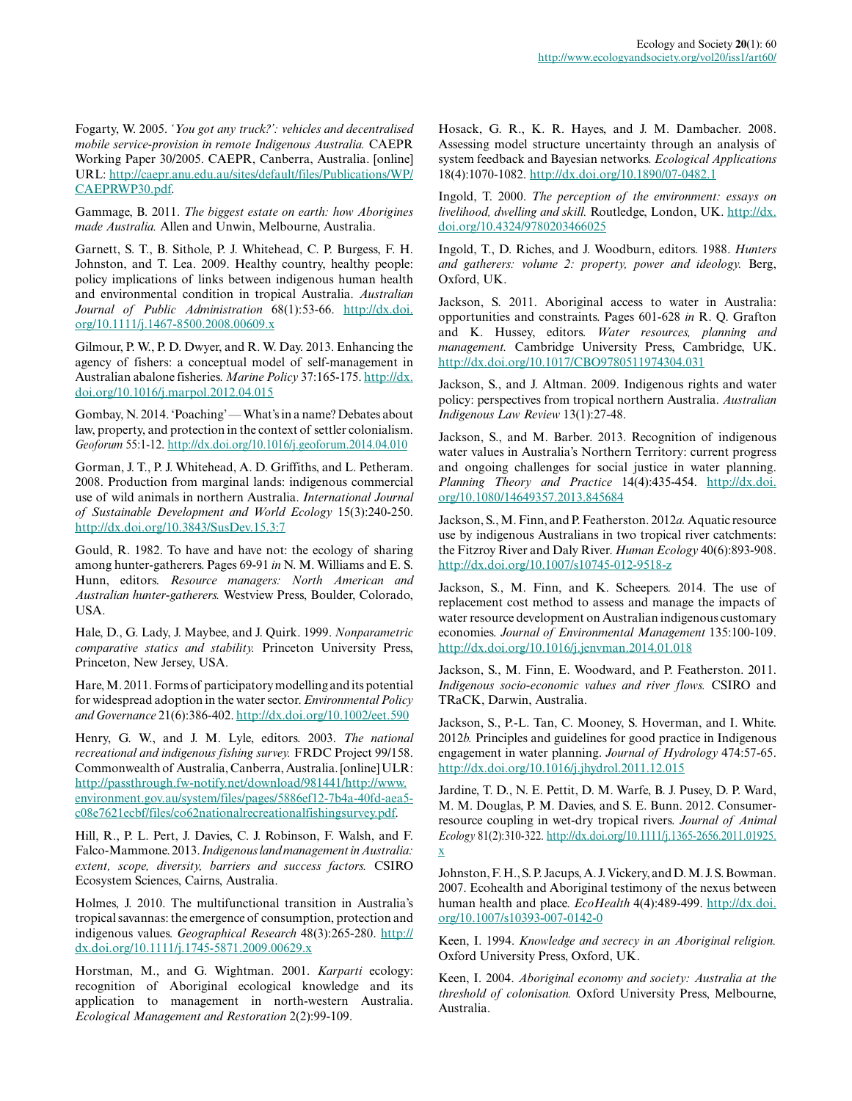Fogarty, W. 2005. *'You got any truck?': vehicles and decentralised mobile service-provision in remote Indigenous Australia.* CAEPR Working Paper 30/2005. CAEPR, Canberra, Australia. [online] URL: [http://caepr.anu.edu.au/sites/default/files/Publications/WP/](http://caepr.anu.edu.au/sites/default/files/Publications/WP/CAEPRWP30.pdf) [CAEPRWP30.pdf.](http://caepr.anu.edu.au/sites/default/files/Publications/WP/CAEPRWP30.pdf)

Gammage, B. 2011. *The biggest estate on earth: how Aborigines made Australia.* Allen and Unwin, Melbourne, Australia.

Garnett, S. T., B. Sithole, P. J. Whitehead, C. P. Burgess, F. H. Johnston, and T. Lea. 2009. Healthy country, healthy people: policy implications of links between indigenous human health and environmental condition in tropical Australia. *Australian Journal of Public Administration* 68(1):53-66. [http://dx.doi.](http://dx.doi.org/10.1111/j.1467-8500.2008.00609.x) [org/10.1111/j.1467-8500.2008.00609.x](http://dx.doi.org/10.1111/j.1467-8500.2008.00609.x)

Gilmour, P. W., P. D. Dwyer, and R. W. Day. 2013. Enhancing the agency of fishers: a conceptual model of self-management in Australian abalone fisheries. *Marine Policy* 37:165-175. [http://dx.](http://dx.doi.org/10.1016/j.marpol.2012.04.015) [doi.org/10.1016/j.marpol.2012.04.015](http://dx.doi.org/10.1016/j.marpol.2012.04.015)

Gombay, N. 2014. 'Poaching' — What's in a name? Debates about law, property, and protection in the context of settler colonialism. *Geoforum* 55:1-12.<http://dx.doi.org/10.1016/j.geoforum.2014.04.010>

Gorman, J. T., P. J. Whitehead, A. D. Griffiths, and L. Petheram. 2008. Production from marginal lands: indigenous commercial use of wild animals in northern Australia. *International Journal of Sustainable Development and World Ecology* 15(3):240-250. [http://dx.doi.org/10.3843/SusDev.15.3:7](http://dx.doi.org/10.3843/SusDev.15.3%3A7)

Gould, R. 1982. To have and have not: the ecology of sharing among hunter-gatherers. Pages 69-91 *in* N. M. Williams and E. S. Hunn, editors. *Resource managers: North American and Australian hunter-gatherers.* Westview Press, Boulder, Colorado, USA.

Hale, D., G. Lady, J. Maybee, and J. Quirk. 1999. *Nonparametric comparative statics and stability.* Princeton University Press, Princeton, New Jersey, USA.

Hare, M. 2011. Forms of participatory modelling and its potential for widespread adoption in the water sector. *Environmental Policy and Governance* 21(6):386-402.<http://dx.doi.org/10.1002/eet.590>

Henry, G. W., and J. M. Lyle, editors. 2003. *The national recreational and indigenous fishing survey.* FRDC Project 99/158. Commonwealth of Australia, Canberra, Australia. [online] ULR: [http://passthrough.fw-notify.net/download/981441/http://www.](http://passthrough.fw-notify.net/download/981441/http://www.environment.gov.au/system/files/pages/5886ef12-7b4a-40fd-aea5-c08e7621ecbf/files/co62nationalrecreationalfishingsurvey.pdf) [environment.gov.au/system/files/pages/5886ef12-7b4a-40fd-aea5](http://passthrough.fw-notify.net/download/981441/http://www.environment.gov.au/system/files/pages/5886ef12-7b4a-40fd-aea5-c08e7621ecbf/files/co62nationalrecreationalfishingsurvey.pdf) [c08e7621ecbf/files/co62nationalrecreationalfishingsurvey.pdf.](http://passthrough.fw-notify.net/download/981441/http://www.environment.gov.au/system/files/pages/5886ef12-7b4a-40fd-aea5-c08e7621ecbf/files/co62nationalrecreationalfishingsurvey.pdf)

Hill, R., P. L. Pert, J. Davies, C. J. Robinson, F. Walsh, and F. Falco-Mammone. 2013. *Indigenous land management in Australia: extent, scope, diversity, barriers and success factors.* CSIRO Ecosystem Sciences, Cairns, Australia.

Holmes, J. 2010. The multifunctional transition in Australia's tropical savannas: the emergence of consumption, protection and indigenous values. *Geographical Research* 48(3):265-280. [http://](http://dx.doi.org/10.1111/j.1745-5871.2009.00629.x) [dx.doi.org/10.1111/j.1745-5871.2009.00629.x](http://dx.doi.org/10.1111/j.1745-5871.2009.00629.x)

Horstman, M., and G. Wightman. 2001. *Karparti* ecology: recognition of Aboriginal ecological knowledge and its application to management in north-western Australia. *Ecological Management and Restoration* 2(2):99-109.

Hosack, G. R., K. R. Hayes, and J. M. Dambacher. 2008. Assessing model structure uncertainty through an analysis of system feedback and Bayesian networks. *Ecological Applications* 18(4):1070-1082. <http://dx.doi.org/10.1890/07-0482.1>

Ingold, T. 2000. *The perception of the environment: essays on livelihood, dwelling and skill.* Routledge, London, UK. [http://dx.](http://dx.doi.org/10.4324/9780203466025) [doi.org/10.4324/9780203466025](http://dx.doi.org/10.4324/9780203466025) 

Ingold, T., D. Riches, and J. Woodburn, editors. 1988. *Hunters and gatherers: volume 2: property, power and ideology.* Berg, Oxford, UK.

Jackson, S. 2011. Aboriginal access to water in Australia: opportunities and constraints. Pages 601-628 *in* R. Q. Grafton and K. Hussey, editors. *Water resources, planning and management.* Cambridge University Press, Cambridge, UK. <http://dx.doi.org/10.1017/CBO9780511974304.031>

Jackson, S., and J. Altman. 2009. Indigenous rights and water policy: perspectives from tropical northern Australia. *Australian Indigenous Law Review* 13(1):27-48.

Jackson, S., and M. Barber. 2013. Recognition of indigenous water values in Australia's Northern Territory: current progress and ongoing challenges for social justice in water planning. *Planning Theory and Practice* 14(4):435-454. [http://dx.doi.](http://dx.doi.org/10.1080/14649357.2013.845684) [org/10.1080/14649357.2013.845684](http://dx.doi.org/10.1080/14649357.2013.845684)

Jackson, S., M. Finn, and P. Featherston. 2012*a.* Aquatic resource use by indigenous Australians in two tropical river catchments: the Fitzroy River and Daly River. *Human Ecology* 40(6):893-908. <http://dx.doi.org/10.1007/s10745-012-9518-z>

Jackson, S., M. Finn, and K. Scheepers. 2014. The use of replacement cost method to assess and manage the impacts of water resource development on Australian indigenous customary economies. *Journal of Environmental Management* 135:100-109. <http://dx.doi.org/10.1016/j.jenvman.2014.01.018>

Jackson, S., M. Finn, E. Woodward, and P. Featherston. 2011. *Indigenous socio-economic values and river flows.* CSIRO and TRaCK, Darwin, Australia.

Jackson, S., P.-L. Tan, C. Mooney, S. Hoverman, and I. White. 2012*b.* Principles and guidelines for good practice in Indigenous engagement in water planning. *Journal of Hydrology* 474:57-65. <http://dx.doi.org/10.1016/j.jhydrol.2011.12.015>

Jardine, T. D., N. E. Pettit, D. M. Warfe, B. J. Pusey, D. P. Ward, M. M. Douglas, P. M. Davies, and S. E. Bunn. 2012. Consumerresource coupling in wet-dry tropical rivers. *Journal of Animal Ecology* 81(2):310-322. [http://dx.doi.org/10.1111/j.1365-2656.2011.01925.](http://dx.doi.org/10.1111/j.1365-2656.2011.01925.x) [x](http://dx.doi.org/10.1111/j.1365-2656.2011.01925.x) 

Johnston, F. H., S. P. Jacups, A. J. Vickery, and D. M. J. S. Bowman. 2007. Ecohealth and Aboriginal testimony of the nexus between human health and place. *EcoHealth* 4(4):489-499. [http://dx.doi.](http://dx.doi.org/10.1007/s10393-007-0142-0) [org/10.1007/s10393-007-0142-0](http://dx.doi.org/10.1007/s10393-007-0142-0)

Keen, I. 1994. *Knowledge and secrecy in an Aboriginal religion.* Oxford University Press, Oxford, UK.

Keen, I. 2004. *Aboriginal economy and society: Australia at the threshold of colonisation.* Oxford University Press, Melbourne, Australia.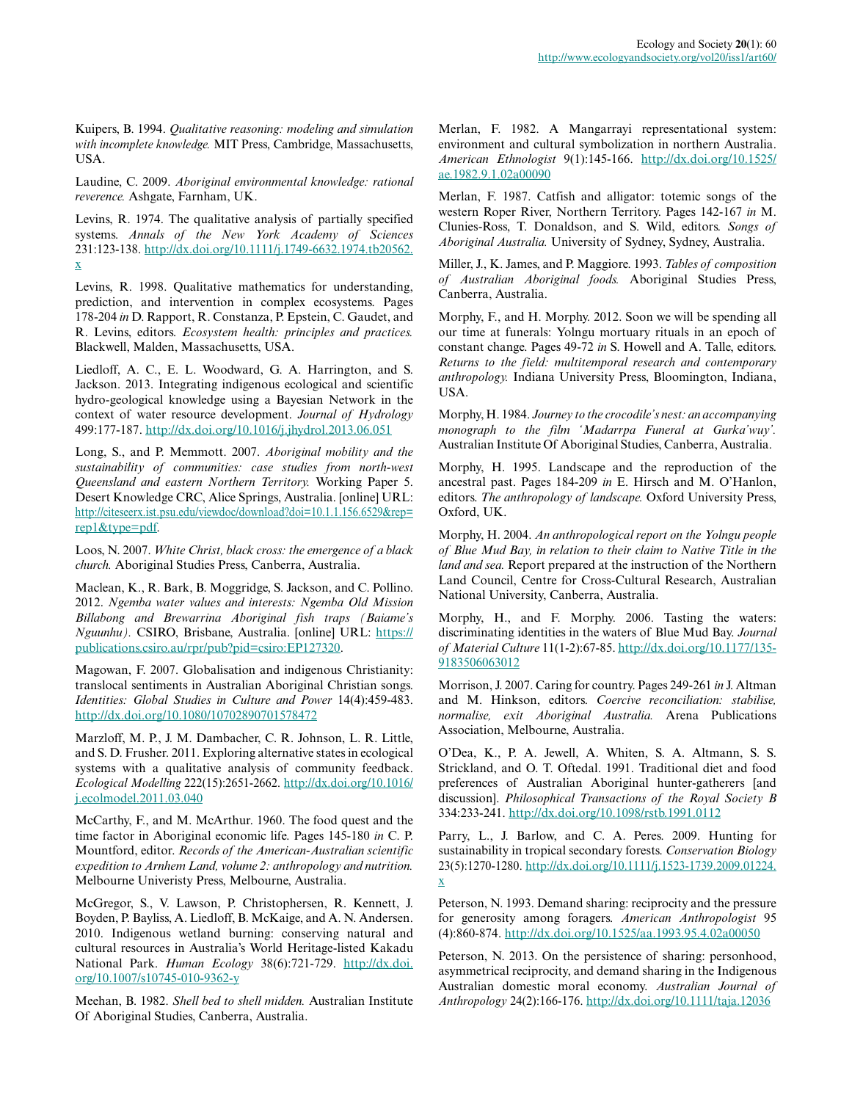Kuipers, B. 1994. *Qualitative reasoning: modeling and simulation with incomplete knowledge.* MIT Press, Cambridge, Massachusetts, USA.

Laudine, C. 2009. *Aboriginal environmental knowledge: rational reverence.* Ashgate, Farnham, UK.

Levins, R. 1974. The qualitative analysis of partially specified systems. *Annals of the New York Academy of Sciences* 231:123-138. [http://dx.doi.org/10.1111/j.1749-6632.1974.tb20562.](http://dx.doi.org/10.1111/j.1749-6632.1974.tb20562.x) [x](http://dx.doi.org/10.1111/j.1749-6632.1974.tb20562.x)

Levins, R. 1998. Qualitative mathematics for understanding, prediction, and intervention in complex ecosystems. Pages 178-204 *in* D. Rapport, R. Constanza, P. Epstein, C. Gaudet, and R. Levins, editors. *Ecosystem health: principles and practices.* Blackwell, Malden, Massachusetts, USA.

Liedloff, A. C., E. L. Woodward, G. A. Harrington, and S. Jackson. 2013. Integrating indigenous ecological and scientific hydro-geological knowledge using a Bayesian Network in the context of water resource development. *Journal of Hydrology* 499:177-187. <http://dx.doi.org/10.1016/j.jhydrol.2013.06.051>

Long, S., and P. Memmott. 2007. *Aboriginal mobility and the sustainability of communities: case studies from north-west Queensland and eastern Northern Territory.* Working Paper 5. Desert Knowledge CRC, Alice Springs, Australia. [online] URL: [http://citeseerx.ist.psu.edu/viewdoc/download?doi=10.1.1.156.6529&rep=](http://citeseerx.ist.psu.edu/viewdoc/download?doi=10.1.1.156.6529&rep=rep1&type=pdf) [rep1&type=pdf.](http://citeseerx.ist.psu.edu/viewdoc/download?doi=10.1.1.156.6529&rep=rep1&type=pdf)

Loos, N. 2007. *White Christ, black cross: the emergence of a black church.* Aboriginal Studies Press, Canberra, Australia.

Maclean, K., R. Bark, B. Moggridge, S. Jackson, and C. Pollino. 2012. *Ngemba water values and interests: Ngemba Old Mission Billabong and Brewarrina Aboriginal fish traps (Baiame's Nguunhu).* CSIRO, Brisbane, Australia. [online] URL: [https://](https://publications.csiro.au/rpr/pub?pid=csiro:EP127320) [publications.csiro.au/rpr/pub?pid=csiro:EP127320.](https://publications.csiro.au/rpr/pub?pid=csiro:EP127320)

Magowan, F. 2007. Globalisation and indigenous Christianity: translocal sentiments in Australian Aboriginal Christian songs. *Identities: Global Studies in Culture and Power* 14(4):459-483. <http://dx.doi.org/10.1080/10702890701578472>

Marzloff, M. P., J. M. Dambacher, C. R. Johnson, L. R. Little, and S. D. Frusher. 2011. Exploring alternative states in ecological systems with a qualitative analysis of community feedback. *Ecological Modelling* 222(15):2651-2662. [http://dx.doi.org/10.1016/](http://dx.doi.org/10.1016/j.ecolmodel.2011.03.040) [j.ecolmodel.2011.03.040](http://dx.doi.org/10.1016/j.ecolmodel.2011.03.040) 

McCarthy, F., and M. McArthur. 1960. The food quest and the time factor in Aboriginal economic life. Pages 145-180 *in* C. P. Mountford, editor. *Records of the American-Australian scientific expedition to Arnhem Land, volume 2: anthropology and nutrition.* Melbourne Univeristy Press, Melbourne, Australia.

McGregor, S., V. Lawson, P. Christophersen, R. Kennett, J. Boyden, P. Bayliss, A. Liedloff, B. McKaige, and A. N. Andersen. 2010. Indigenous wetland burning: conserving natural and cultural resources in Australia's World Heritage-listed Kakadu National Park. *Human Ecology* 38(6):721-729. [http://dx.doi.](http://dx.doi.org/10.1007/s10745-010-9362-y) [org/10.1007/s10745-010-9362-y](http://dx.doi.org/10.1007/s10745-010-9362-y)

Meehan, B. 1982. *Shell bed to shell midden.* Australian Institute Of Aboriginal Studies, Canberra, Australia.

Merlan, F. 1982. A Mangarrayi representational system: environment and cultural symbolization in northern Australia. *American Ethnologist* 9(1):145-166. [http://dx.doi.org/10.1525/](http://dx.doi.org/10.1525/ae.1982.9.1.02a00090) [ae.1982.9.1.02a00090](http://dx.doi.org/10.1525/ae.1982.9.1.02a00090) 

Merlan, F. 1987. Catfish and alligator: totemic songs of the western Roper River, Northern Territory. Pages 142-167 *in* M. Clunies-Ross, T. Donaldson, and S. Wild, editors. *Songs of Aboriginal Australia.* University of Sydney, Sydney, Australia.

Miller, J., K. James, and P. Maggiore. 1993. *Tables of composition of Australian Aboriginal foods.* Aboriginal Studies Press, Canberra, Australia.

Morphy, F., and H. Morphy. 2012. Soon we will be spending all our time at funerals: Yolngu mortuary rituals in an epoch of constant change. Pages 49-72 *in* S. Howell and A. Talle, editors. *Returns to the field: multitemporal research and contemporary anthropology.* Indiana University Press, Bloomington, Indiana, USA.

Morphy, H. 1984. *Journey to the crocodile's nest: an accompanying monograph to the film 'Madarrpa Funeral at Gurka'wuy'.* Australian Institute Of Aboriginal Studies, Canberra, Australia.

Morphy, H. 1995. Landscape and the reproduction of the ancestral past. Pages 184-209 *in* E. Hirsch and M. O'Hanlon, editors. *The anthropology of landscape.* Oxford University Press, Oxford, UK.

Morphy, H. 2004. *An anthropological report on the Yolngu people of Blue Mud Bay, in relation to their claim to Native Title in the land and sea.* Report prepared at the instruction of the Northern Land Council, Centre for Cross-Cultural Research, Australian National University, Canberra, Australia.

Morphy, H., and F. Morphy. 2006. Tasting the waters: discriminating identities in the waters of Blue Mud Bay. *Journal of Material Culture* 11(1-2):67-85. [http://dx.doi.org/10.1177/135](http://dx.doi.org/10.1177/1359183506063012) [9183506063012](http://dx.doi.org/10.1177/1359183506063012) 

Morrison, J. 2007. Caring for country. Pages 249-261 *in* J. Altman and M. Hinkson, editors. *Coercive reconciliation: stabilise, normalise, exit Aboriginal Australia.* Arena Publications Association, Melbourne, Australia.

O'Dea, K., P. A. Jewell, A. Whiten, S. A. Altmann, S. S. Strickland, and O. T. Oftedal. 1991. Traditional diet and food preferences of Australian Aboriginal hunter-gatherers [and discussion]. *Philosophical Transactions of the Royal Society B* 334:233-241. <http://dx.doi.org/10.1098/rstb.1991.0112>

Parry, L., J. Barlow, and C. A. Peres. 2009. Hunting for sustainability in tropical secondary forests. *Conservation Biology* 23(5):1270-1280. [http://dx.doi.org/10.1111/j.1523-1739.2009.01224.](http://dx.doi.org/10.1111/j.1523-1739.2009.01224.x) [x](http://dx.doi.org/10.1111/j.1523-1739.2009.01224.x) 

Peterson, N. 1993. Demand sharing: reciprocity and the pressure for generosity among foragers. *American Anthropologist* 95 (4):860-874. <http://dx.doi.org/10.1525/aa.1993.95.4.02a00050>

Peterson, N. 2013. On the persistence of sharing: personhood, asymmetrical reciprocity, and demand sharing in the Indigenous Australian domestic moral economy. *Australian Journal of Anthropology* 24(2):166-176.<http://dx.doi.org/10.1111/taja.12036>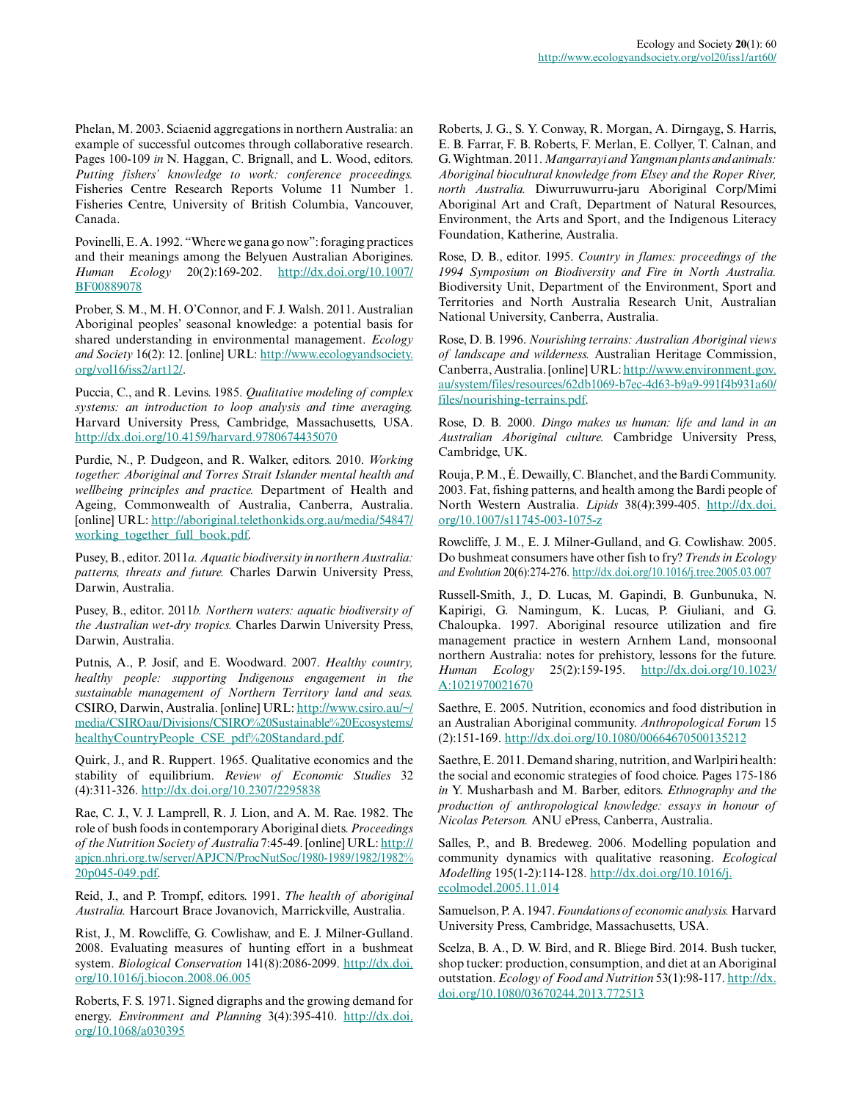Phelan, M. 2003. Sciaenid aggregations in northern Australia: an example of successful outcomes through collaborative research. Pages 100-109 *in* N. Haggan, C. Brignall, and L. Wood, editors. *Putting fishers' knowledge to work: conference proceedings.* Fisheries Centre Research Reports Volume 11 Number 1. Fisheries Centre, University of British Columbia, Vancouver, Canada.

Povinelli, E. A. 1992. "Where we gana go now": foraging practices and their meanings among the Belyuen Australian Aborigines. *Human Ecology* 20(2):169-202. [http://dx.doi.org/10.1007/](http://dx.doi.org/10.1007/BF00889078) [BF00889078](http://dx.doi.org/10.1007/BF00889078)

Prober, S. M., M. H. O'Connor, and F. J. Walsh. 2011. Australian Aboriginal peoples' seasonal knowledge: a potential basis for shared understanding in environmental management. *Ecology and Society* 16(2): 12. [online] URL: [http://www.ecologyandsociety.](http://www.ecologyandsociety.org/vol16/iss2/art12/) [org/vol16/iss2/art12/](http://www.ecologyandsociety.org/vol16/iss2/art12/).

Puccia, C., and R. Levins. 1985. *Qualitative modeling of complex systems: an introduction to loop analysis and time averaging.* Harvard University Press, Cambridge, Massachusetts, USA. <http://dx.doi.org/10.4159/harvard.9780674435070>

Purdie, N., P. Dudgeon, and R. Walker, editors. 2010. *Working together: Aboriginal and Torres Strait Islander mental health and wellbeing principles and practice.* Department of Health and Ageing, Commonwealth of Australia, Canberra, Australia. [online] URL: [http://aboriginal.telethonkids.org.au/media/54847/](http://aboriginal.telethonkids.org.au/media/54847/working_together_full_book.pdf) [working\\_together\\_full\\_book.pdf.](http://aboriginal.telethonkids.org.au/media/54847/working_together_full_book.pdf)

Pusey, B., editor. 2011*a. Aquatic biodiversity in northern Australia: patterns, threats and future.* Charles Darwin University Press, Darwin, Australia.

Pusey, B., editor. 2011*b. Northern waters: aquatic biodiversity of the Australian wet-dry tropics.* Charles Darwin University Press, Darwin, Australia.

Putnis, A., P. Josif, and E. Woodward. 2007. *Healthy country, healthy people: supporting Indigenous engagement in the sustainable management of Northern Territory land and seas.* CSIRO, Darwin, Australia. [online] URL: [http://www.csiro.au/~/](http://www.csiro.au/~/media/CSIROau/Divisions/CSIRO%20Sustainable%20Ecosystems/healthyCountryPeople_CSE_pdf%20Standard.pdf) [media/CSIROau/Divisions/CSIRO%20Sustainable%20Ecosystems/](http://www.csiro.au/~/media/CSIROau/Divisions/CSIRO%20Sustainable%20Ecosystems/healthyCountryPeople_CSE_pdf%20Standard.pdf) [healthyCountryPeople\\_CSE\\_pdf%20Standard.pdf.](http://www.csiro.au/~/media/CSIROau/Divisions/CSIRO%20Sustainable%20Ecosystems/healthyCountryPeople_CSE_pdf%20Standard.pdf)

Quirk, J., and R. Ruppert. 1965. Qualitative economics and the stability of equilibrium. *Review of Economic Studies* 32 (4):311-326. <http://dx.doi.org/10.2307/2295838>

Rae, C. J., V. J. Lamprell, R. J. Lion, and A. M. Rae. 1982. The role of bush foods in contemporary Aboriginal diets. *Proceedings of the Nutrition Society of Australia* 7:45-49. [online] URL: [http://](http://apjcn.nhri.org.tw/server/APJCN/ProcNutSoc/1980-1989/1982/1982%20p045-049.pdf) [apjcn.nhri.org.tw/server/APJCN/ProcNutSoc/1980-1989/1982/1982%](http://apjcn.nhri.org.tw/server/APJCN/ProcNutSoc/1980-1989/1982/1982%20p045-049.pdf) [20p045-049.pdf.](http://apjcn.nhri.org.tw/server/APJCN/ProcNutSoc/1980-1989/1982/1982%20p045-049.pdf)

Reid, J., and P. Trompf, editors. 1991. *The health of aboriginal Australia.* Harcourt Brace Jovanovich, Marrickville, Australia.

Rist, J., M. Rowcliffe, G. Cowlishaw, and E. J. Milner-Gulland. 2008. Evaluating measures of hunting effort in a bushmeat system. *Biological Conservation* 141(8):2086-2099. [http://dx.doi.](http://dx.doi.org/10.1016/j.biocon.2008.06.005) [org/10.1016/j.biocon.2008.06.005](http://dx.doi.org/10.1016/j.biocon.2008.06.005)

Roberts, F. S. 1971. Signed digraphs and the growing demand for energy. *Environment and Planning* 3(4):395-410. [http://dx.doi.](http://dx.doi.org/10.1068/a030395) [org/10.1068/a030395](http://dx.doi.org/10.1068/a030395) 

Roberts, J. G., S. Y. Conway, R. Morgan, A. Dirngayg, S. Harris, E. B. Farrar, F. B. Roberts, F. Merlan, E. Collyer, T. Calnan, and G. Wightman. 2011. *Mangarrayi and Yangman plants and animals: Aboriginal biocultural knowledge from Elsey and the Roper River, north Australia.* Diwurruwurru-jaru Aboriginal Corp/Mimi Aboriginal Art and Craft, Department of Natural Resources, Environment, the Arts and Sport, and the Indigenous Literacy Foundation, Katherine, Australia.

Rose, D. B., editor. 1995. *Country in flames: proceedings of the 1994 Symposium on Biodiversity and Fire in North Australia.* Biodiversity Unit, Department of the Environment, Sport and Territories and North Australia Research Unit, Australian National University, Canberra, Australia.

Rose, D. B. 1996. *Nourishing terrains: Australian Aboriginal views of landscape and wilderness.* Australian Heritage Commission, Canberra, Australia. [online] URL: [http://www.environment.gov.](http://www.environment.gov.au/system/files/resources/62db1069-b7ec-4d63-b9a9-991f4b931a60/files/nourishing-terrains.pdf) [au/system/files/resources/62db1069-b7ec-4d63-b9a9-991f4b931a60/](http://www.environment.gov.au/system/files/resources/62db1069-b7ec-4d63-b9a9-991f4b931a60/files/nourishing-terrains.pdf) [files/nourishing-terrains.pdf.](http://www.environment.gov.au/system/files/resources/62db1069-b7ec-4d63-b9a9-991f4b931a60/files/nourishing-terrains.pdf)

Rose, D. B. 2000. *Dingo makes us human: life and land in an Australian Aboriginal culture.* Cambridge University Press, Cambridge, UK.

Rouja, P. M., É. Dewailly, C. Blanchet, and the Bardi Community. 2003. Fat, fishing patterns, and health among the Bardi people of North Western Australia. *Lipids* 38(4):399-405. [http://dx.doi.](http://dx.doi.org/10.1007/s11745-003-1075-z) [org/10.1007/s11745-003-1075-z](http://dx.doi.org/10.1007/s11745-003-1075-z) 

Rowcliffe, J. M., E. J. Milner-Gulland, and G. Cowlishaw. 2005. Do bushmeat consumers have other fish to fry? *Trends in Ecology and Evolution* 20(6):274-276.<http://dx.doi.org/10.1016/j.tree.2005.03.007>

Russell-Smith, J., D. Lucas, M. Gapindi, B. Gunbunuka, N. Kapirigi, G. Namingum, K. Lucas, P. Giuliani, and G. Chaloupka. 1997. Aboriginal resource utilization and fire management practice in western Arnhem Land, monsoonal northern Australia: notes for prehistory, lessons for the future. *Human Ecology* 25(2):159-195. [http://dx.doi.org/10.1023/](http://dx.doi.org/10.1023/A%3A1021970021670) [A:1021970021670](http://dx.doi.org/10.1023/A%3A1021970021670) 

Saethre, E. 2005. Nutrition, economics and food distribution in an Australian Aboriginal community. *Anthropological Forum* 15 (2):151-169. <http://dx.doi.org/10.1080/00664670500135212>

Saethre, E. 2011. Demand sharing, nutrition, and Warlpiri health: the social and economic strategies of food choice. Pages 175-186 *in* Y. Musharbash and M. Barber, editors. *Ethnography and the production of anthropological knowledge: essays in honour of Nicolas Peterson.* ANU ePress, Canberra, Australia.

Salles, P., and B. Bredeweg. 2006. Modelling population and community dynamics with qualitative reasoning. *Ecological Modelling* 195(1-2):114-128. [http://dx.doi.org/10.1016/j.](http://dx.doi.org/10.1016/j.ecolmodel.2005.11.014) [ecolmodel.2005.11.014](http://dx.doi.org/10.1016/j.ecolmodel.2005.11.014) 

Samuelson, P. A. 1947. *Foundations of economic analysis.* Harvard University Press, Cambridge, Massachusetts, USA.

Scelza, B. A., D. W. Bird, and R. Bliege Bird. 2014. Bush tucker, shop tucker: production, consumption, and diet at an Aboriginal outstation. *Ecology of Food and Nutrition* 53(1):98-117. [http://dx.](http://dx.doi.org/10.1080/03670244.2013.772513) [doi.org/10.1080/03670244.2013.772513](http://dx.doi.org/10.1080/03670244.2013.772513)